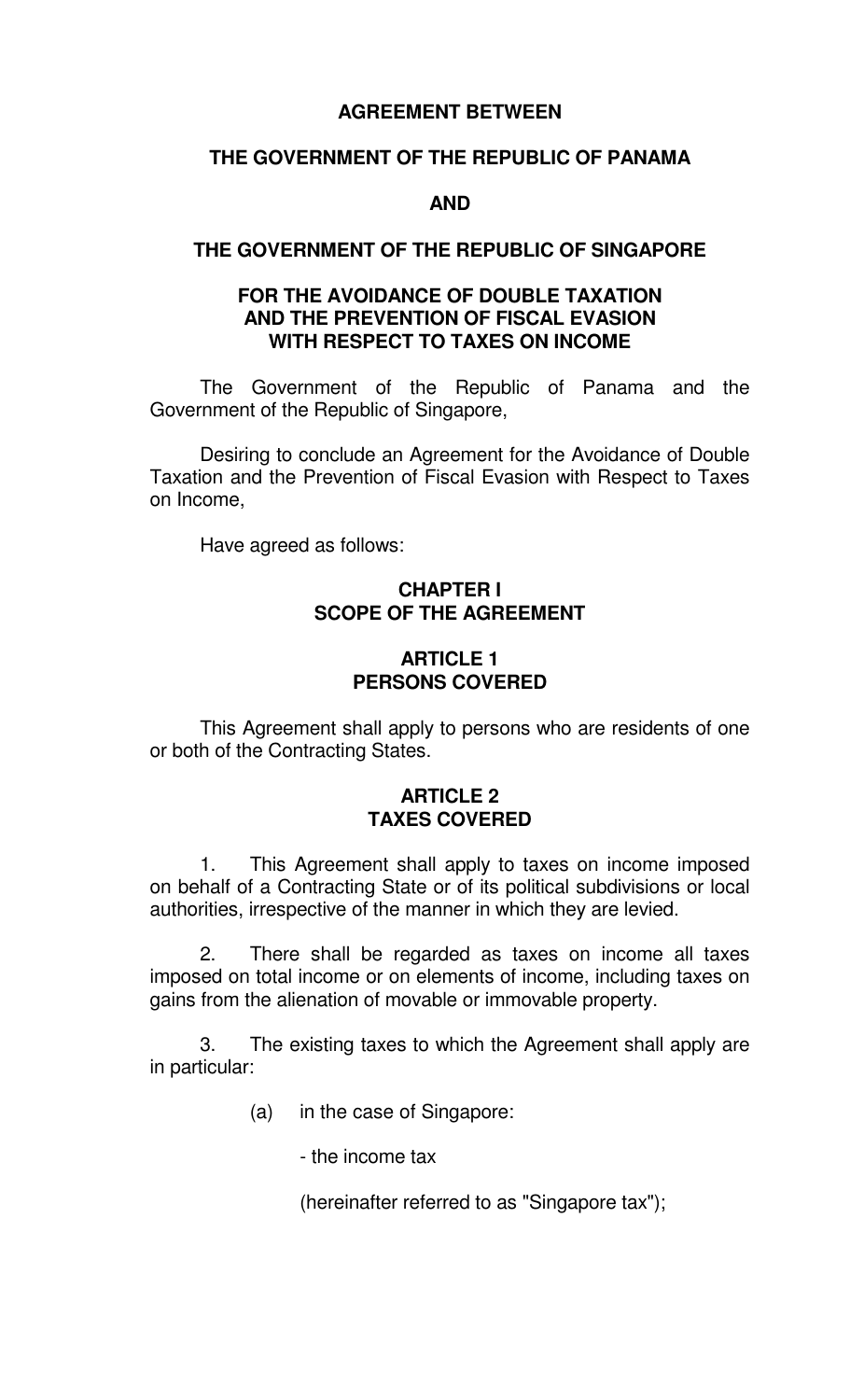### **AGREEMENT BETWEEN**

## **THE GOVERNMENT OF THE REPUBLIC OF PANAMA**

## **AND**

## **THE GOVERNMENT OF THE REPUBLIC OF SINGAPORE**

## **FOR THE AVOIDANCE OF DOUBLE TAXATION AND THE PREVENTION OF FISCAL EVASION WITH RESPECT TO TAXES ON INCOME**

The Government of the Republic of Panama and the Government of the Republic of Singapore,

Desiring to conclude an Agreement for the Avoidance of Double Taxation and the Prevention of Fiscal Evasion with Respect to Taxes on Income,

Have agreed as follows:

# **CHAPTER I SCOPE OF THE AGREEMENT**

## **ARTICLE 1 PERSONS COVERED**

This Agreement shall apply to persons who are residents of one or both of the Contracting States.

## **ARTICLE 2 TAXES COVERED**

1. This Agreement shall apply to taxes on income imposed on behalf of a Contracting State or of its political subdivisions or local authorities, irrespective of the manner in which they are levied.

2. There shall be regarded as taxes on income all taxes imposed on total income or on elements of income, including taxes on gains from the alienation of movable or immovable property.

3. The existing taxes to which the Agreement shall apply are in particular:

(a) in the case of Singapore:

- the income tax

(hereinafter referred to as "Singapore tax");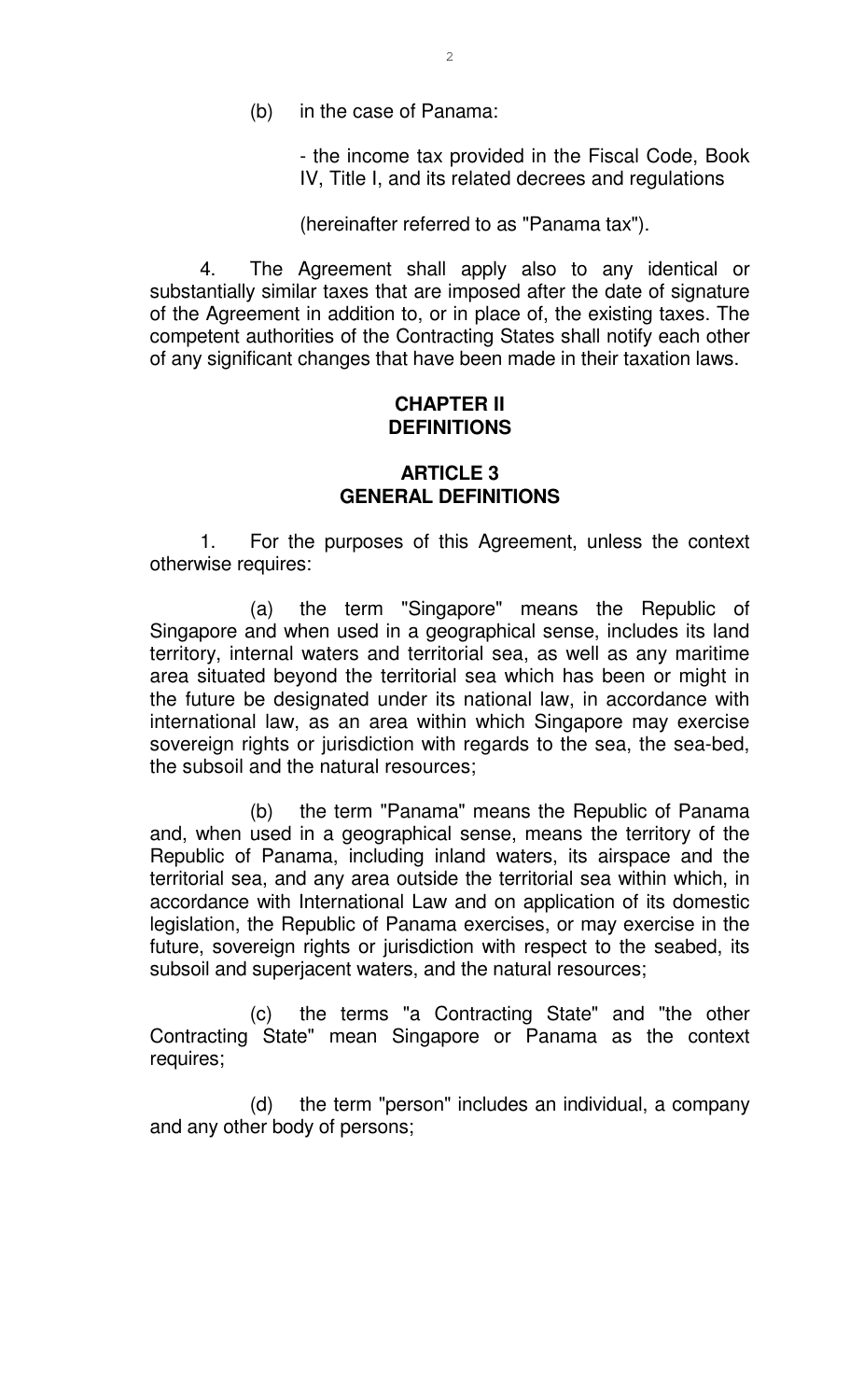(b) in the case of Panama:

- the income tax provided in the Fiscal Code, Book IV, Title I, and its related decrees and regulations

(hereinafter referred to as "Panama tax").

4. The Agreement shall apply also to any identical or substantially similar taxes that are imposed after the date of signature of the Agreement in addition to, or in place of, the existing taxes. The competent authorities of the Contracting States shall notify each other of any significant changes that have been made in their taxation laws.

### **CHAPTER II DEFINITIONS**

## **ARTICLE 3 GENERAL DEFINITIONS**

1. For the purposes of this Agreement, unless the context otherwise requires:

(a) the term "Singapore" means the Republic of Singapore and when used in a geographical sense, includes its land territory, internal waters and territorial sea, as well as any maritime area situated beyond the territorial sea which has been or might in the future be designated under its national law, in accordance with international law, as an area within which Singapore may exercise sovereign rights or jurisdiction with regards to the sea, the sea-bed, the subsoil and the natural resources;

(b) the term "Panama" means the Republic of Panama and, when used in a geographical sense, means the territory of the Republic of Panama, including inland waters, its airspace and the territorial sea, and any area outside the territorial sea within which, in accordance with International Law and on application of its domestic legislation, the Republic of Panama exercises, or may exercise in the future, sovereign rights or jurisdiction with respect to the seabed, its subsoil and superjacent waters, and the natural resources;

(c) the terms "a Contracting State" and "the other Contracting State" mean Singapore or Panama as the context requires;

(d) the term "person" includes an individual, a company and any other body of persons;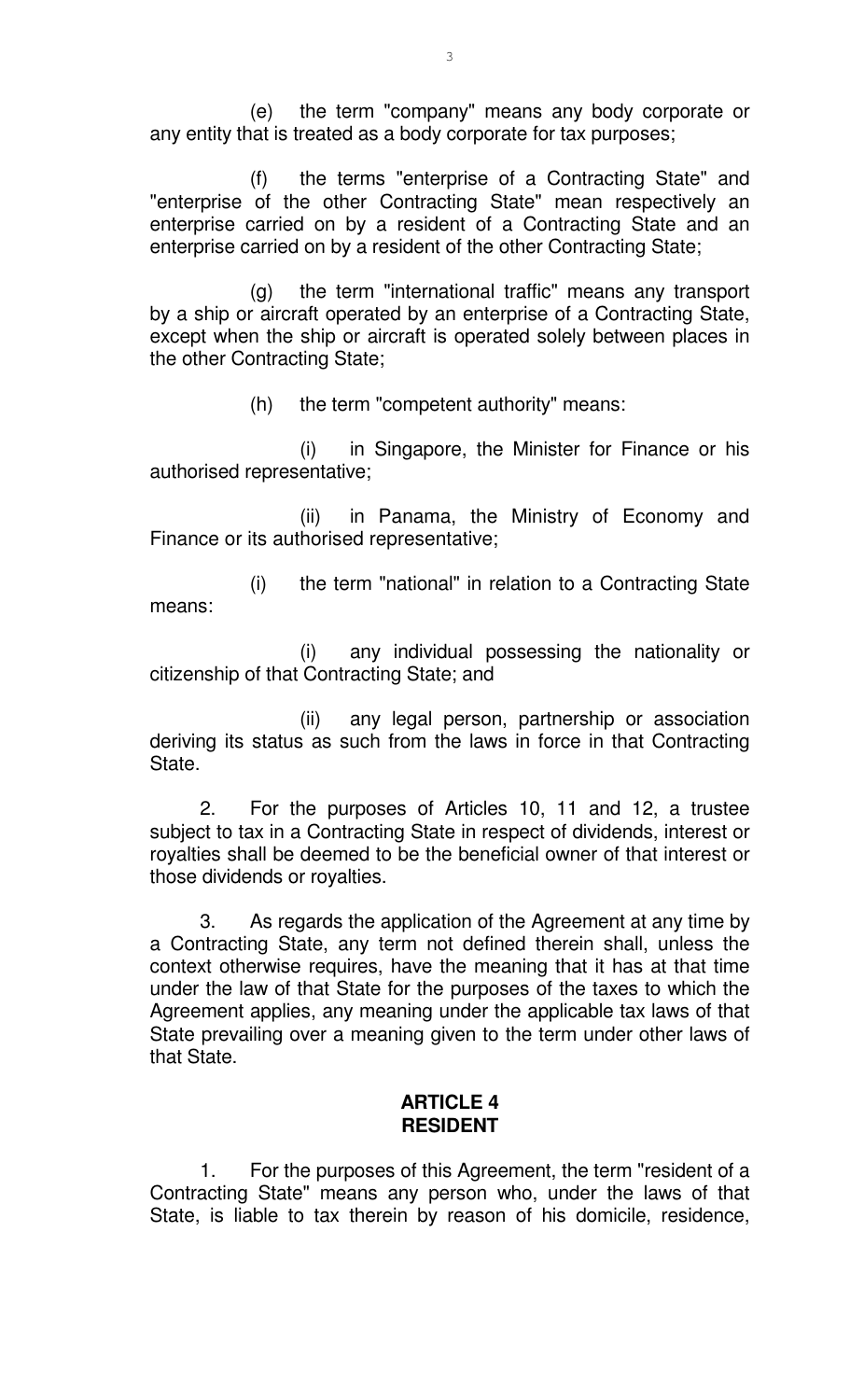(e) the term "company" means any body corporate or any entity that is treated as a body corporate for tax purposes;

(f) the terms "enterprise of a Contracting State" and "enterprise of the other Contracting State" mean respectively an enterprise carried on by a resident of a Contracting State and an enterprise carried on by a resident of the other Contracting State;

(g) the term "international traffic" means any transport by a ship or aircraft operated by an enterprise of a Contracting State, except when the ship or aircraft is operated solely between places in the other Contracting State;

(h) the term "competent authority" means:

(i) in Singapore, the Minister for Finance or his authorised representative;

(ii) in Panama, the Ministry of Economy and Finance or its authorised representative;

(i) the term "national" in relation to a Contracting State means:

(i) any individual possessing the nationality or citizenship of that Contracting State; and

(ii) any legal person, partnership or association deriving its status as such from the laws in force in that Contracting State.

2. For the purposes of Articles 10, 11 and 12, a trustee subject to tax in a Contracting State in respect of dividends, interest or royalties shall be deemed to be the beneficial owner of that interest or those dividends or royalties.

3. As regards the application of the Agreement at any time by a Contracting State, any term not defined therein shall, unless the context otherwise requires, have the meaning that it has at that time under the law of that State for the purposes of the taxes to which the Agreement applies, any meaning under the applicable tax laws of that State prevailing over a meaning given to the term under other laws of that State.

## **ARTICLE 4 RESIDENT**

1. For the purposes of this Agreement, the term "resident of a Contracting State" means any person who, under the laws of that State, is liable to tax therein by reason of his domicile, residence,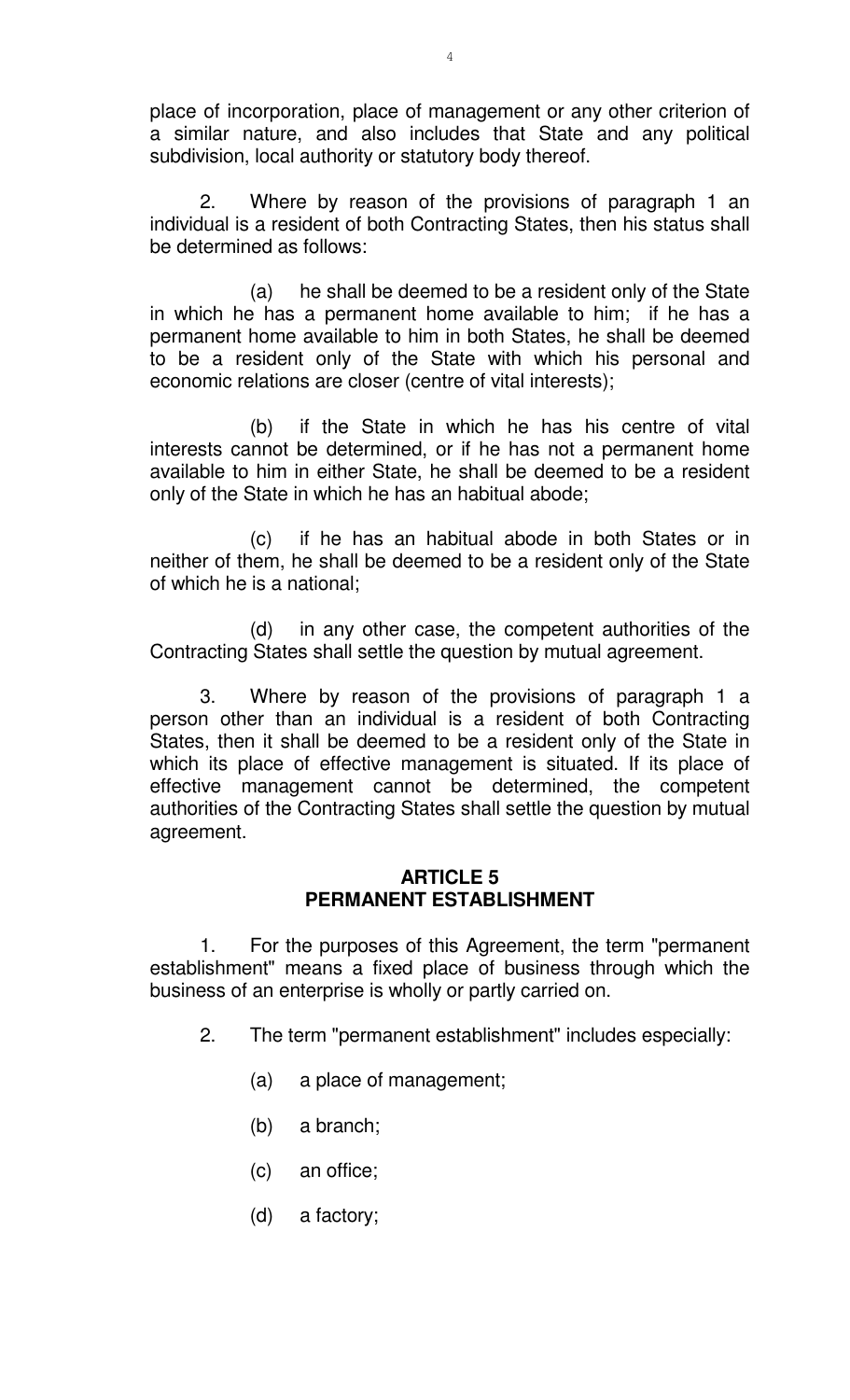place of incorporation, place of management or any other criterion of a similar nature, and also includes that State and any political subdivision, local authority or statutory body thereof.

2. Where by reason of the provisions of paragraph 1 an individual is a resident of both Contracting States, then his status shall be determined as follows:

(a) he shall be deemed to be a resident only of the State in which he has a permanent home available to him; if he has a permanent home available to him in both States, he shall be deemed to be a resident only of the State with which his personal and economic relations are closer (centre of vital interests);

(b) if the State in which he has his centre of vital interests cannot be determined, or if he has not a permanent home available to him in either State, he shall be deemed to be a resident only of the State in which he has an habitual abode;

(c) if he has an habitual abode in both States or in neither of them, he shall be deemed to be a resident only of the State of which he is a national;

(d) in any other case, the competent authorities of the Contracting States shall settle the question by mutual agreement.

3. Where by reason of the provisions of paragraph 1 a person other than an individual is a resident of both Contracting States, then it shall be deemed to be a resident only of the State in which its place of effective management is situated. If its place of effective management cannot be determined, the competent authorities of the Contracting States shall settle the question by mutual agreement.

## **ARTICLE 5 PERMANENT ESTABLISHMENT**

1. For the purposes of this Agreement, the term "permanent establishment" means a fixed place of business through which the business of an enterprise is wholly or partly carried on.

- 2. The term "permanent establishment" includes especially:
	- (a) a place of management;
	- (b) a branch;
	- (c) an office;
	- (d) a factory;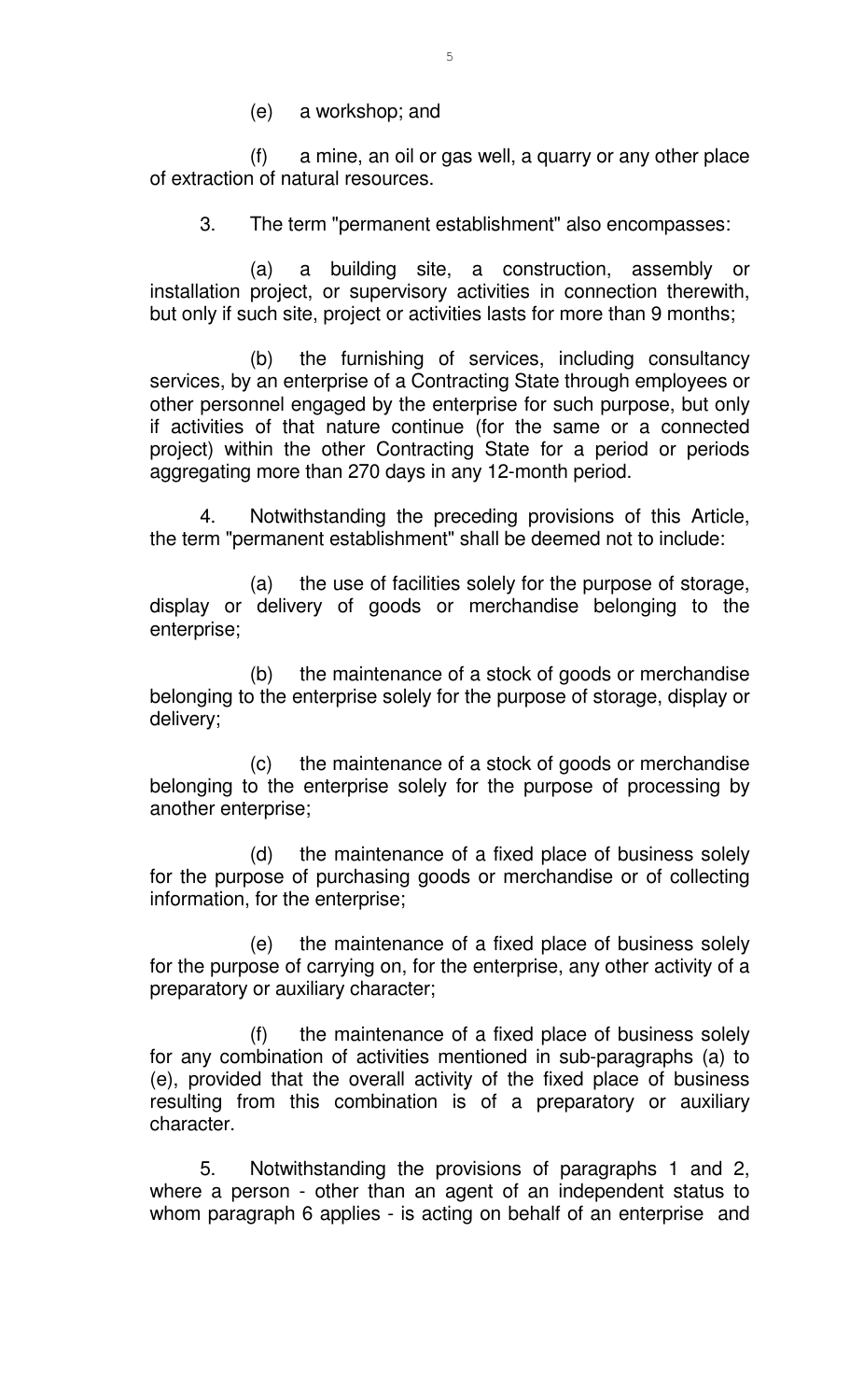(e) a workshop; and

(f) a mine, an oil or gas well, a quarry or any other place of extraction of natural resources.

3. The term "permanent establishment" also encompasses:

(a) a building site, a construction, assembly or installation project, or supervisory activities in connection therewith, but only if such site, project or activities lasts for more than 9 months;

(b) the furnishing of services, including consultancy services, by an enterprise of a Contracting State through employees or other personnel engaged by the enterprise for such purpose, but only if activities of that nature continue (for the same or a connected project) within the other Contracting State for a period or periods aggregating more than 270 days in any 12-month period.

4. Notwithstanding the preceding provisions of this Article, the term "permanent establishment" shall be deemed not to include:

(a) the use of facilities solely for the purpose of storage, display or delivery of goods or merchandise belonging to the enterprise;

(b) the maintenance of a stock of goods or merchandise belonging to the enterprise solely for the purpose of storage, display or delivery;

(c) the maintenance of a stock of goods or merchandise belonging to the enterprise solely for the purpose of processing by another enterprise;

(d) the maintenance of a fixed place of business solely for the purpose of purchasing goods or merchandise or of collecting information, for the enterprise;

(e) the maintenance of a fixed place of business solely for the purpose of carrying on, for the enterprise, any other activity of a preparatory or auxiliary character;

(f) the maintenance of a fixed place of business solely for any combination of activities mentioned in sub-paragraphs (a) to (e), provided that the overall activity of the fixed place of business resulting from this combination is of a preparatory or auxiliary character.

5. Notwithstanding the provisions of paragraphs 1 and 2, where a person - other than an agent of an independent status to whom paragraph 6 applies - is acting on behalf of an enterprise and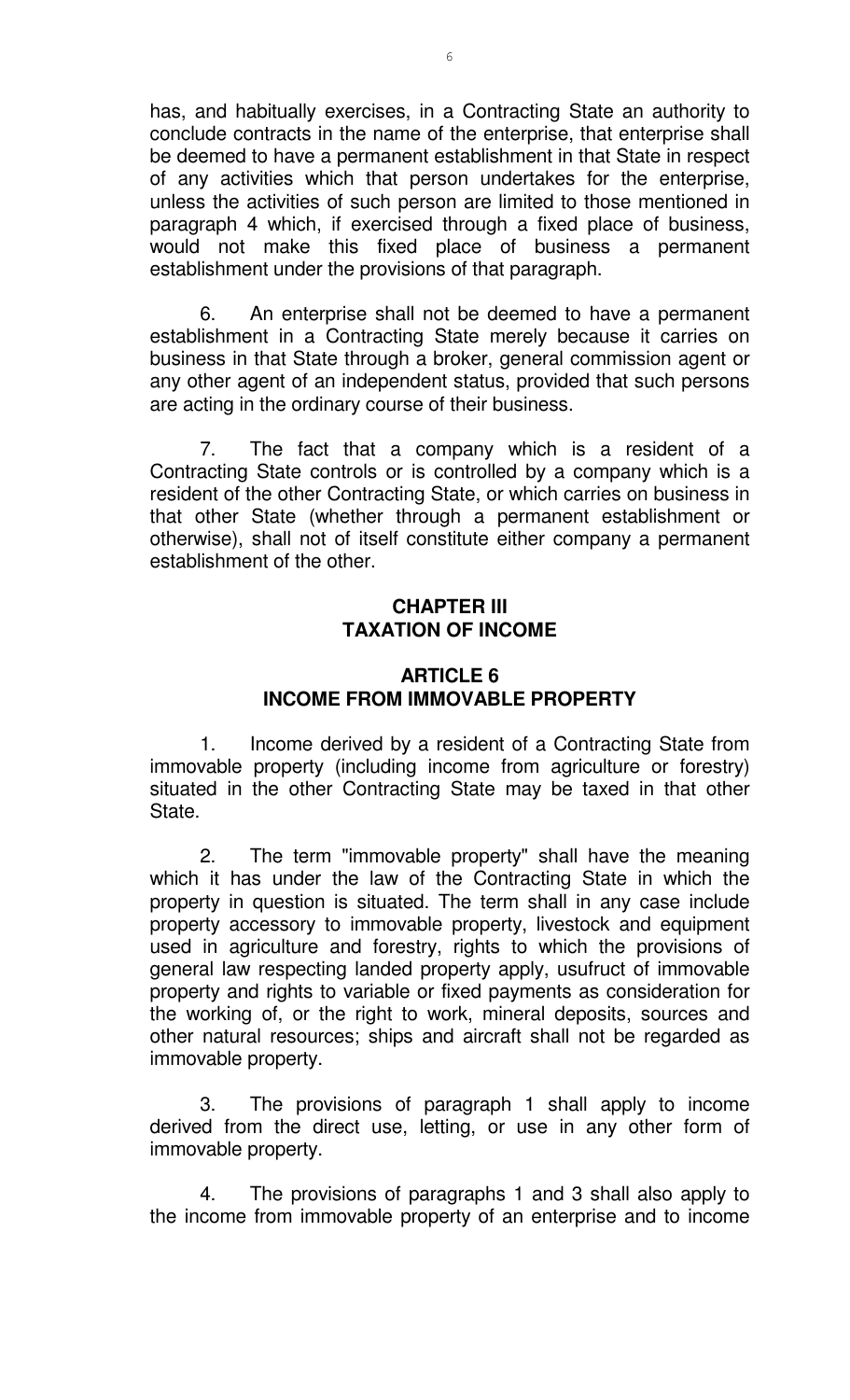has, and habitually exercises, in a Contracting State an authority to conclude contracts in the name of the enterprise, that enterprise shall be deemed to have a permanent establishment in that State in respect of any activities which that person undertakes for the enterprise, unless the activities of such person are limited to those mentioned in paragraph 4 which, if exercised through a fixed place of business, would not make this fixed place of business a permanent establishment under the provisions of that paragraph.

6. An enterprise shall not be deemed to have a permanent establishment in a Contracting State merely because it carries on business in that State through a broker, general commission agent or any other agent of an independent status, provided that such persons are acting in the ordinary course of their business.

7. The fact that a company which is a resident of a Contracting State controls or is controlled by a company which is a resident of the other Contracting State, or which carries on business in that other State (whether through a permanent establishment or otherwise), shall not of itself constitute either company a permanent establishment of the other.

### **CHAPTER III TAXATION OF INCOME**

## **ARTICLE 6 INCOME FROM IMMOVABLE PROPERTY**

1. Income derived by a resident of a Contracting State from immovable property (including income from agriculture or forestry) situated in the other Contracting State may be taxed in that other State.

2. The term "immovable property" shall have the meaning which it has under the law of the Contracting State in which the property in question is situated. The term shall in any case include property accessory to immovable property, livestock and equipment used in agriculture and forestry, rights to which the provisions of general law respecting landed property apply, usufruct of immovable property and rights to variable or fixed payments as consideration for the working of, or the right to work, mineral deposits, sources and other natural resources; ships and aircraft shall not be regarded as immovable property.

3. The provisions of paragraph 1 shall apply to income derived from the direct use, letting, or use in any other form of immovable property.

4. The provisions of paragraphs 1 and 3 shall also apply to the income from immovable property of an enterprise and to income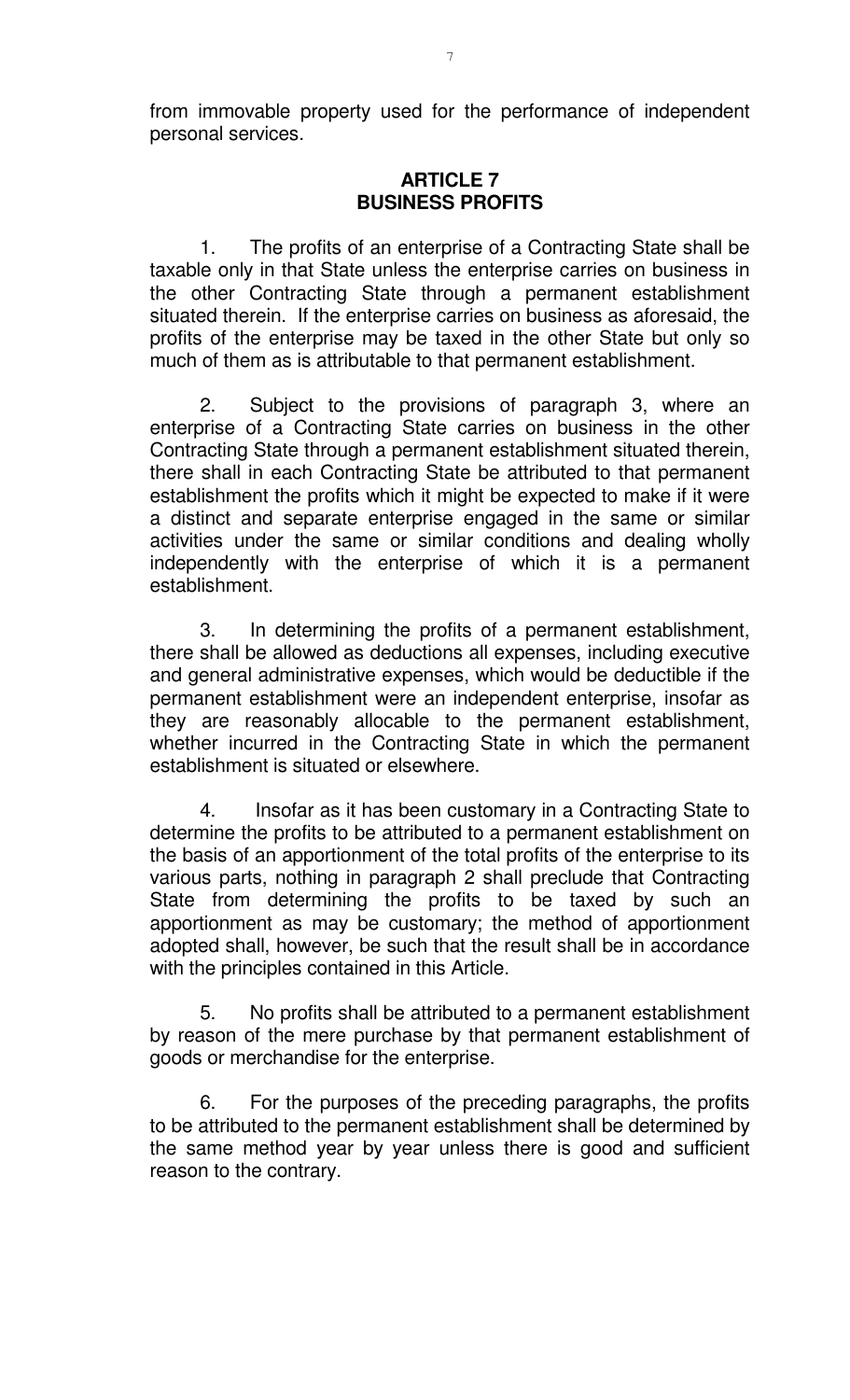from immovable property used for the performance of independent personal services.

## **ARTICLE 7 BUSINESS PROFITS**

1. The profits of an enterprise of a Contracting State shall be taxable only in that State unless the enterprise carries on business in the other Contracting State through a permanent establishment situated therein. If the enterprise carries on business as aforesaid, the profits of the enterprise may be taxed in the other State but only so much of them as is attributable to that permanent establishment.

2. Subject to the provisions of paragraph 3, where an enterprise of a Contracting State carries on business in the other Contracting State through a permanent establishment situated therein, there shall in each Contracting State be attributed to that permanent establishment the profits which it might be expected to make if it were a distinct and separate enterprise engaged in the same or similar activities under the same or similar conditions and dealing wholly independently with the enterprise of which it is a permanent establishment.

3. In determining the profits of a permanent establishment, there shall be allowed as deductions all expenses, including executive and general administrative expenses, which would be deductible if the permanent establishment were an independent enterprise, insofar as they are reasonably allocable to the permanent establishment, whether incurred in the Contracting State in which the permanent establishment is situated or elsewhere.

4. Insofar as it has been customary in a Contracting State to determine the profits to be attributed to a permanent establishment on the basis of an apportionment of the total profits of the enterprise to its various parts, nothing in paragraph 2 shall preclude that Contracting State from determining the profits to be taxed by such an apportionment as may be customary; the method of apportionment adopted shall, however, be such that the result shall be in accordance with the principles contained in this Article.

5. No profits shall be attributed to a permanent establishment by reason of the mere purchase by that permanent establishment of goods or merchandise for the enterprise.

6. For the purposes of the preceding paragraphs, the profits to be attributed to the permanent establishment shall be determined by the same method year by year unless there is good and sufficient reason to the contrary.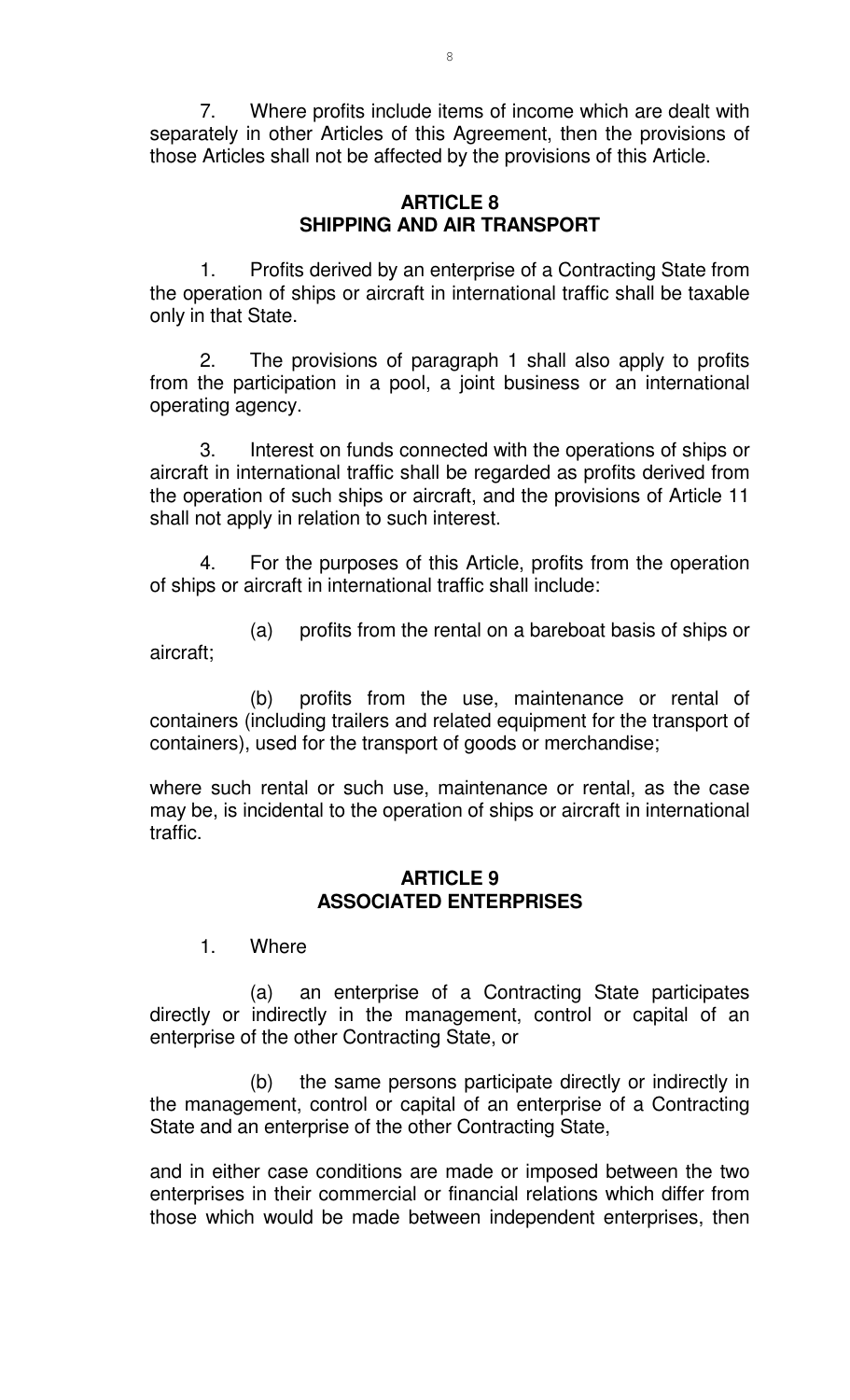7. Where profits include items of income which are dealt with separately in other Articles of this Agreement, then the provisions of those Articles shall not be affected by the provisions of this Article.

### **ARTICLE 8 SHIPPING AND AIR TRANSPORT**

1. Profits derived by an enterprise of a Contracting State from the operation of ships or aircraft in international traffic shall be taxable only in that State.

2. The provisions of paragraph 1 shall also apply to profits from the participation in a pool, a joint business or an international operating agency.

3. Interest on funds connected with the operations of ships or aircraft in international traffic shall be regarded as profits derived from the operation of such ships or aircraft, and the provisions of Article 11 shall not apply in relation to such interest.

4. For the purposes of this Article, profits from the operation of ships or aircraft in international traffic shall include:

(a) profits from the rental on a bareboat basis of ships or aircraft;

(b) profits from the use, maintenance or rental of containers (including trailers and related equipment for the transport of containers), used for the transport of goods or merchandise;

where such rental or such use, maintenance or rental, as the case may be, is incidental to the operation of ships or aircraft in international traffic.

## **ARTICLE 9 ASSOCIATED ENTERPRISES**

1. Where

(a) an enterprise of a Contracting State participates directly or indirectly in the management, control or capital of an enterprise of the other Contracting State, or

(b) the same persons participate directly or indirectly in the management, control or capital of an enterprise of a Contracting State and an enterprise of the other Contracting State,

and in either case conditions are made or imposed between the two enterprises in their commercial or financial relations which differ from those which would be made between independent enterprises, then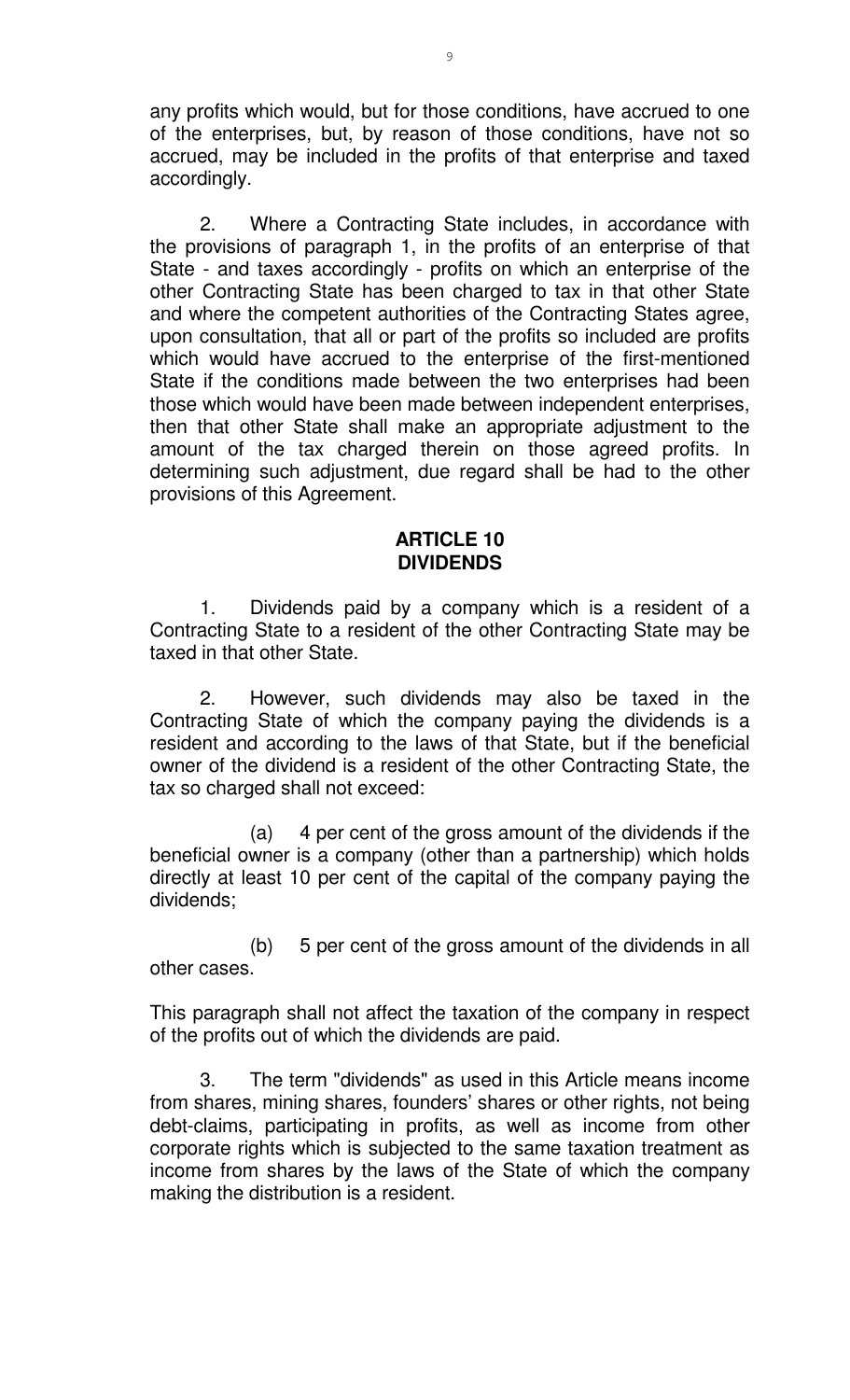any profits which would, but for those conditions, have accrued to one of the enterprises, but, by reason of those conditions, have not so accrued, may be included in the profits of that enterprise and taxed accordingly.

2. Where a Contracting State includes, in accordance with the provisions of paragraph 1, in the profits of an enterprise of that State - and taxes accordingly - profits on which an enterprise of the other Contracting State has been charged to tax in that other State and where the competent authorities of the Contracting States agree, upon consultation, that all or part of the profits so included are profits which would have accrued to the enterprise of the first-mentioned State if the conditions made between the two enterprises had been those which would have been made between independent enterprises, then that other State shall make an appropriate adjustment to the amount of the tax charged therein on those agreed profits. In determining such adjustment, due regard shall be had to the other provisions of this Agreement.

### **ARTICLE 10 DIVIDENDS**

1. Dividends paid by a company which is a resident of a Contracting State to a resident of the other Contracting State may be taxed in that other State.

2. However, such dividends may also be taxed in the Contracting State of which the company paying the dividends is a resident and according to the laws of that State, but if the beneficial owner of the dividend is a resident of the other Contracting State, the tax so charged shall not exceed:

(a) 4 per cent of the gross amount of the dividends if the beneficial owner is a company (other than a partnership) which holds directly at least 10 per cent of the capital of the company paying the dividends;

(b) 5 per cent of the gross amount of the dividends in all other cases.

This paragraph shall not affect the taxation of the company in respect of the profits out of which the dividends are paid.

3. The term "dividends" as used in this Article means income from shares, mining shares, founders' shares or other rights, not being debt-claims, participating in profits, as well as income from other corporate rights which is subjected to the same taxation treatment as income from shares by the laws of the State of which the company making the distribution is a resident.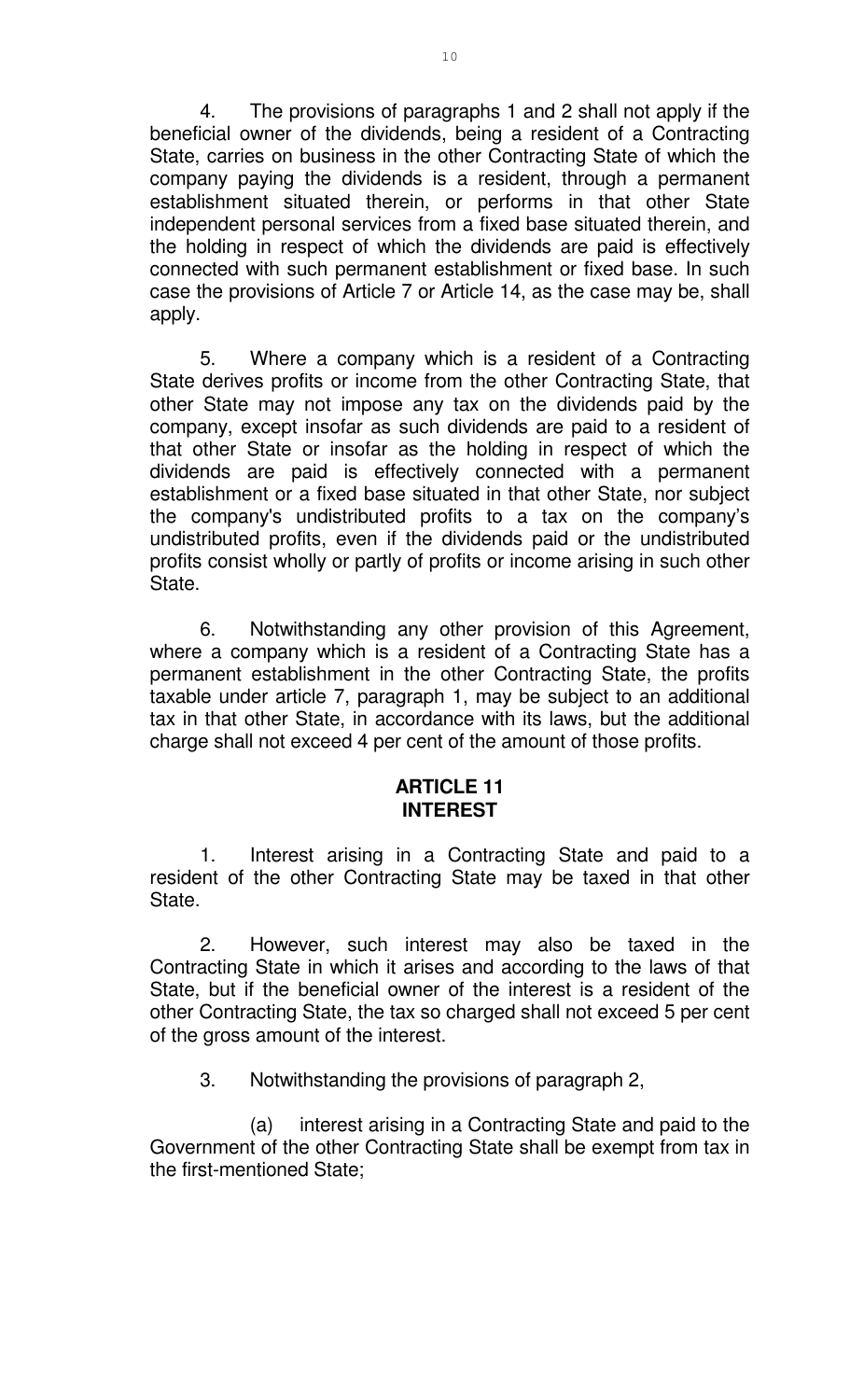4. The provisions of paragraphs 1 and 2 shall not apply if the beneficial owner of the dividends, being a resident of a Contracting State, carries on business in the other Contracting State of which the company paying the dividends is a resident, through a permanent establishment situated therein, or performs in that other State independent personal services from a fixed base situated therein, and the holding in respect of which the dividends are paid is effectively connected with such permanent establishment or fixed base. In such case the provisions of Article 7 or Article 14, as the case may be, shall apply.

5. Where a company which is a resident of a Contracting State derives profits or income from the other Contracting State, that other State may not impose any tax on the dividends paid by the company, except insofar as such dividends are paid to a resident of that other State or insofar as the holding in respect of which the dividends are paid is effectively connected with a permanent establishment or a fixed base situated in that other State, nor subject the company's undistributed profits to a tax on the company's undistributed profits, even if the dividends paid or the undistributed profits consist wholly or partly of profits or income arising in such other State.

6. Notwithstanding any other provision of this Agreement, where a company which is a resident of a Contracting State has a permanent establishment in the other Contracting State, the profits taxable under article 7, paragraph 1, may be subject to an additional tax in that other State, in accordance with its laws, but the additional charge shall not exceed 4 per cent of the amount of those profits.

### **ARTICLE 11 INTEREST**

1. Interest arising in a Contracting State and paid to a resident of the other Contracting State may be taxed in that other State.

2. However, such interest may also be taxed in the Contracting State in which it arises and according to the laws of that State, but if the beneficial owner of the interest is a resident of the other Contracting State, the tax so charged shall not exceed 5 per cent of the gross amount of the interest.

3. Notwithstanding the provisions of paragraph 2,

(a) interest arising in a Contracting State and paid to the Government of the other Contracting State shall be exempt from tax in the first-mentioned State;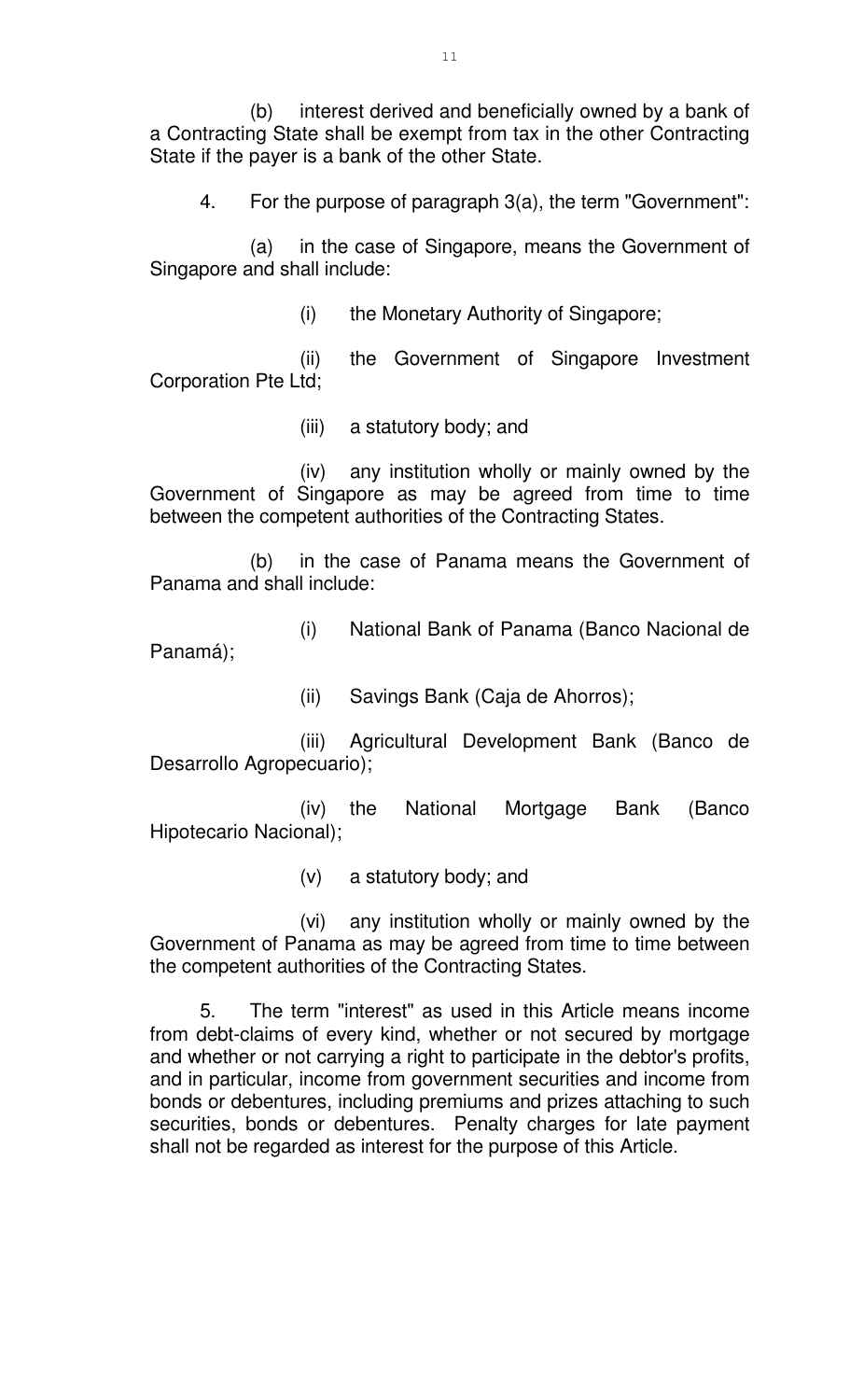(b) interest derived and beneficially owned by a bank of a Contracting State shall be exempt from tax in the other Contracting State if the payer is a bank of the other State.

4. For the purpose of paragraph 3(a), the term "Government":

(a) in the case of Singapore, means the Government of Singapore and shall include:

(i) the Monetary Authority of Singapore;

(ii) the Government of Singapore Investment Corporation Pte Ltd;

(iii) a statutory body; and

(iv) any institution wholly or mainly owned by the Government of Singapore as may be agreed from time to time between the competent authorities of the Contracting States.

(b) in the case of Panama means the Government of Panama and shall include:

(i) National Bank of Panama (Banco Nacional de Panamá);

(ii) Savings Bank (Caja de Ahorros);

(iii) Agricultural Development Bank (Banco de Desarrollo Agropecuario);

(iv) the National Mortgage Bank (Banco Hipotecario Nacional);

(v) a statutory body; and

(vi) any institution wholly or mainly owned by the Government of Panama as may be agreed from time to time between the competent authorities of the Contracting States.

5. The term "interest" as used in this Article means income from debt-claims of every kind, whether or not secured by mortgage and whether or not carrying a right to participate in the debtor's profits, and in particular, income from government securities and income from bonds or debentures, including premiums and prizes attaching to such securities, bonds or debentures. Penalty charges for late payment shall not be regarded as interest for the purpose of this Article.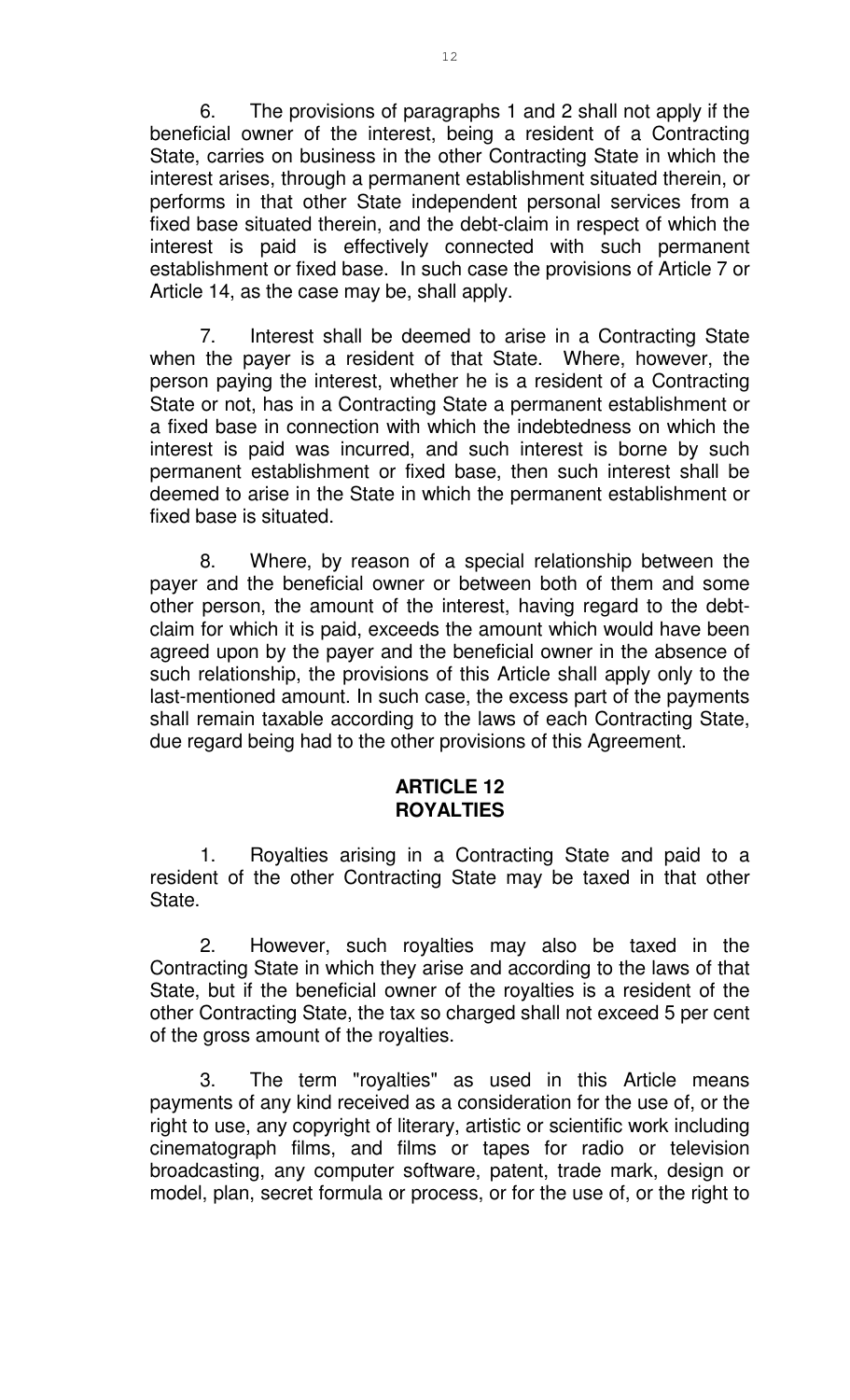6. The provisions of paragraphs 1 and 2 shall not apply if the beneficial owner of the interest, being a resident of a Contracting State, carries on business in the other Contracting State in which the interest arises, through a permanent establishment situated therein, or performs in that other State independent personal services from a fixed base situated therein, and the debt-claim in respect of which the interest is paid is effectively connected with such permanent establishment or fixed base. In such case the provisions of Article 7 or Article 14, as the case may be, shall apply.

7. Interest shall be deemed to arise in a Contracting State when the payer is a resident of that State. Where, however, the person paying the interest, whether he is a resident of a Contracting State or not, has in a Contracting State a permanent establishment or a fixed base in connection with which the indebtedness on which the interest is paid was incurred, and such interest is borne by such permanent establishment or fixed base, then such interest shall be deemed to arise in the State in which the permanent establishment or fixed base is situated.

8. Where, by reason of a special relationship between the payer and the beneficial owner or between both of them and some other person, the amount of the interest, having regard to the debtclaim for which it is paid, exceeds the amount which would have been agreed upon by the payer and the beneficial owner in the absence of such relationship, the provisions of this Article shall apply only to the last-mentioned amount. In such case, the excess part of the payments shall remain taxable according to the laws of each Contracting State, due regard being had to the other provisions of this Agreement.

### **ARTICLE 12 ROYALTIES**

1. Royalties arising in a Contracting State and paid to a resident of the other Contracting State may be taxed in that other State.

2. However, such royalties may also be taxed in the Contracting State in which they arise and according to the laws of that State, but if the beneficial owner of the royalties is a resident of the other Contracting State, the tax so charged shall not exceed 5 per cent of the gross amount of the royalties.

3. The term "royalties" as used in this Article means payments of any kind received as a consideration for the use of, or the right to use, any copyright of literary, artistic or scientific work including cinematograph films, and films or tapes for radio or television broadcasting, any computer software, patent, trade mark, design or model, plan, secret formula or process, or for the use of, or the right to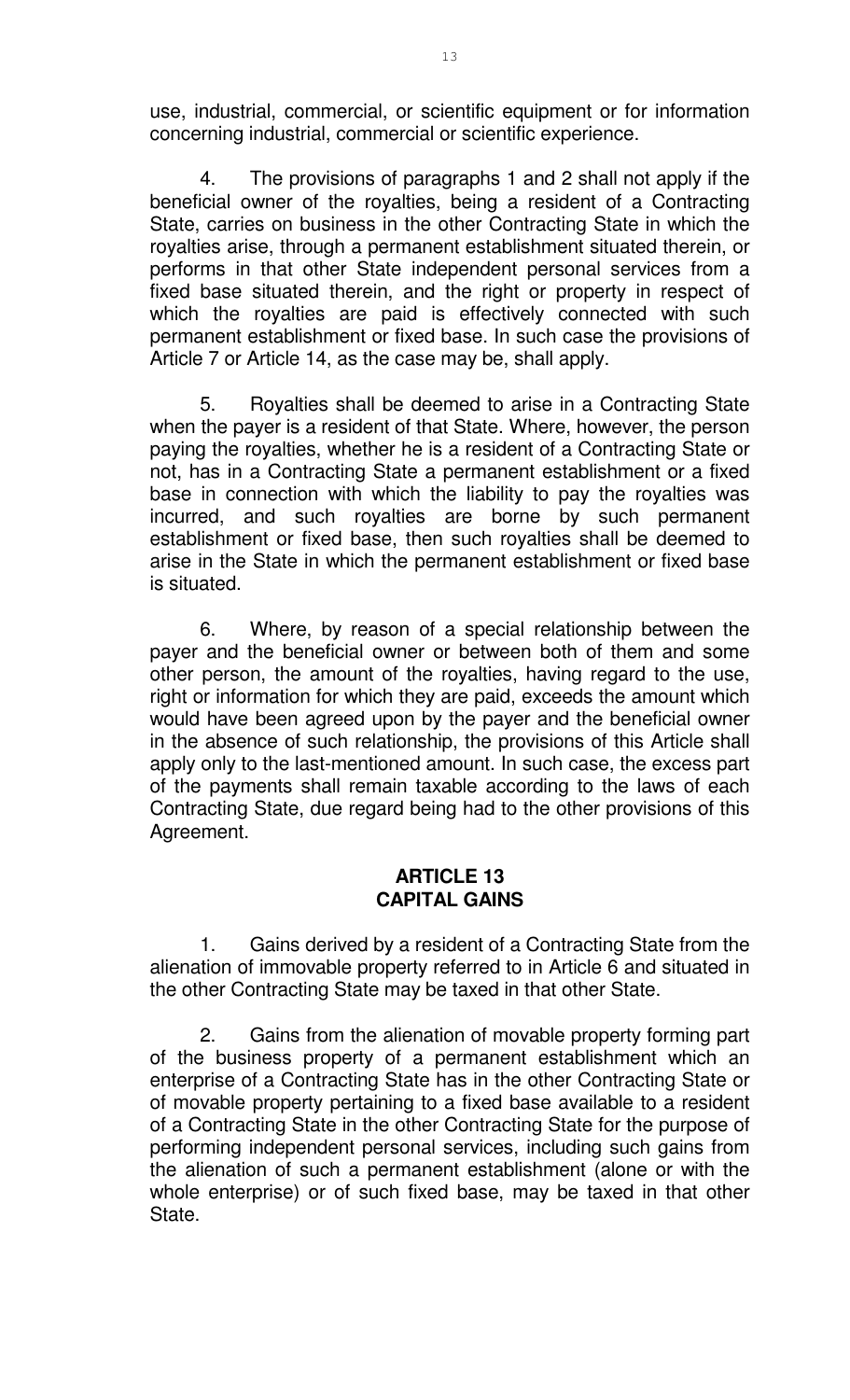use, industrial, commercial, or scientific equipment or for information concerning industrial, commercial or scientific experience.

4. The provisions of paragraphs 1 and 2 shall not apply if the beneficial owner of the royalties, being a resident of a Contracting State, carries on business in the other Contracting State in which the royalties arise, through a permanent establishment situated therein, or performs in that other State independent personal services from a fixed base situated therein, and the right or property in respect of which the royalties are paid is effectively connected with such permanent establishment or fixed base. In such case the provisions of Article 7 or Article 14, as the case may be, shall apply.

5. Royalties shall be deemed to arise in a Contracting State when the payer is a resident of that State. Where, however, the person paying the royalties, whether he is a resident of a Contracting State or not, has in a Contracting State a permanent establishment or a fixed base in connection with which the liability to pay the royalties was incurred, and such royalties are borne by such permanent establishment or fixed base, then such royalties shall be deemed to arise in the State in which the permanent establishment or fixed base is situated.

6. Where, by reason of a special relationship between the payer and the beneficial owner or between both of them and some other person, the amount of the royalties, having regard to the use, right or information for which they are paid, exceeds the amount which would have been agreed upon by the payer and the beneficial owner in the absence of such relationship, the provisions of this Article shall apply only to the last-mentioned amount. In such case, the excess part of the payments shall remain taxable according to the laws of each Contracting State, due regard being had to the other provisions of this Agreement.

## **ARTICLE 13 CAPITAL GAINS**

1. Gains derived by a resident of a Contracting State from the alienation of immovable property referred to in Article 6 and situated in the other Contracting State may be taxed in that other State.

2. Gains from the alienation of movable property forming part of the business property of a permanent establishment which an enterprise of a Contracting State has in the other Contracting State or of movable property pertaining to a fixed base available to a resident of a Contracting State in the other Contracting State for the purpose of performing independent personal services, including such gains from the alienation of such a permanent establishment (alone or with the whole enterprise) or of such fixed base, may be taxed in that other State.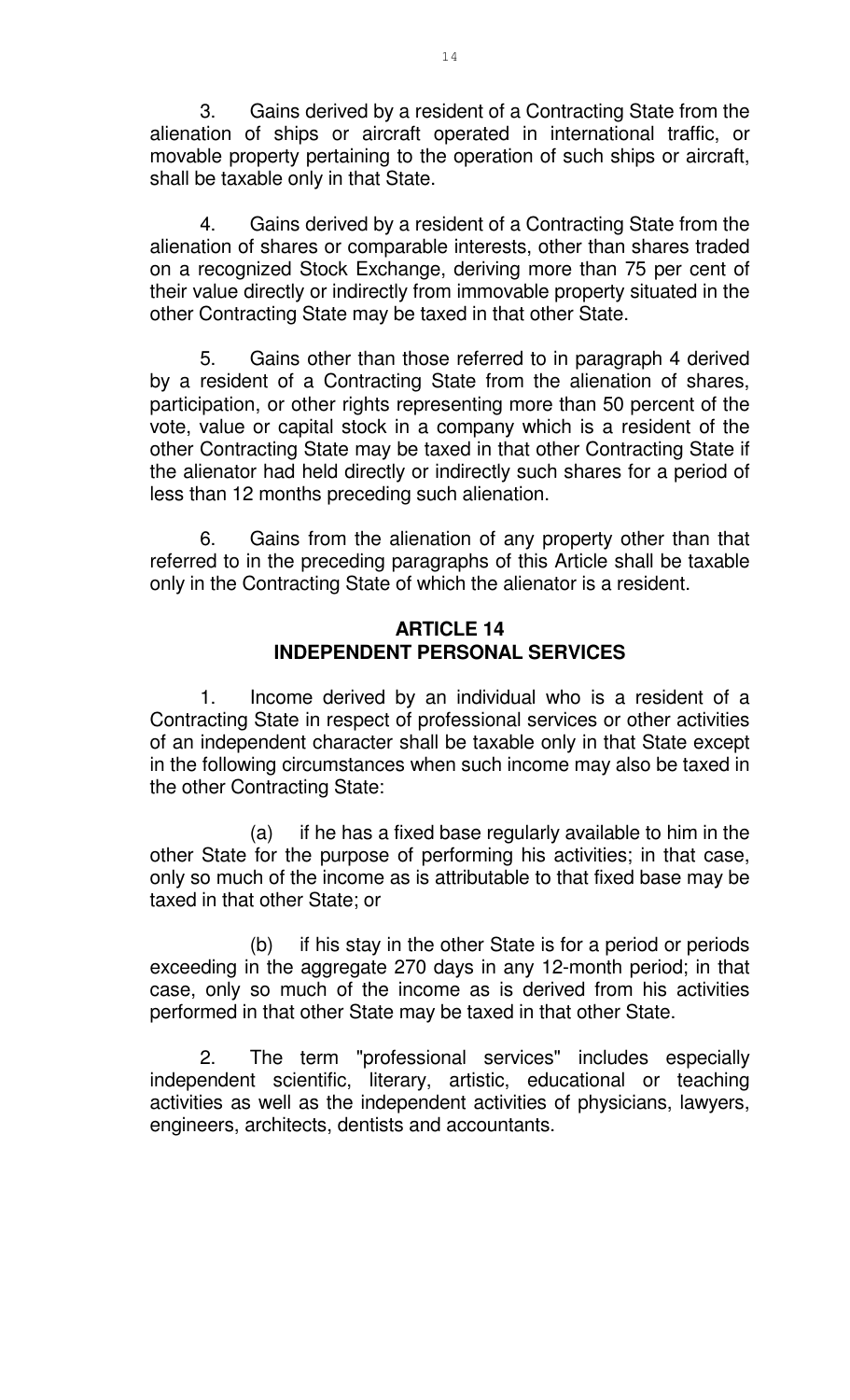3. Gains derived by a resident of a Contracting State from the alienation of ships or aircraft operated in international traffic, or movable property pertaining to the operation of such ships or aircraft, shall be taxable only in that State.

4. Gains derived by a resident of a Contracting State from the alienation of shares or comparable interests, other than shares traded on a recognized Stock Exchange, deriving more than 75 per cent of their value directly or indirectly from immovable property situated in the other Contracting State may be taxed in that other State.

5. Gains other than those referred to in paragraph 4 derived by a resident of a Contracting State from the alienation of shares, participation, or other rights representing more than 50 percent of the vote, value or capital stock in a company which is a resident of the other Contracting State may be taxed in that other Contracting State if the alienator had held directly or indirectly such shares for a period of less than 12 months preceding such alienation.

6. Gains from the alienation of any property other than that referred to in the preceding paragraphs of this Article shall be taxable only in the Contracting State of which the alienator is a resident.

## **ARTICLE 14 INDEPENDENT PERSONAL SERVICES**

1. Income derived by an individual who is a resident of a Contracting State in respect of professional services or other activities of an independent character shall be taxable only in that State except in the following circumstances when such income may also be taxed in the other Contracting State:

(a) if he has a fixed base regularly available to him in the other State for the purpose of performing his activities; in that case, only so much of the income as is attributable to that fixed base may be taxed in that other State; or

(b) if his stay in the other State is for a period or periods exceeding in the aggregate 270 days in any 12-month period; in that case, only so much of the income as is derived from his activities performed in that other State may be taxed in that other State.

2. The term "professional services" includes especially independent scientific, literary, artistic, educational or teaching activities as well as the independent activities of physicians, lawyers, engineers, architects, dentists and accountants.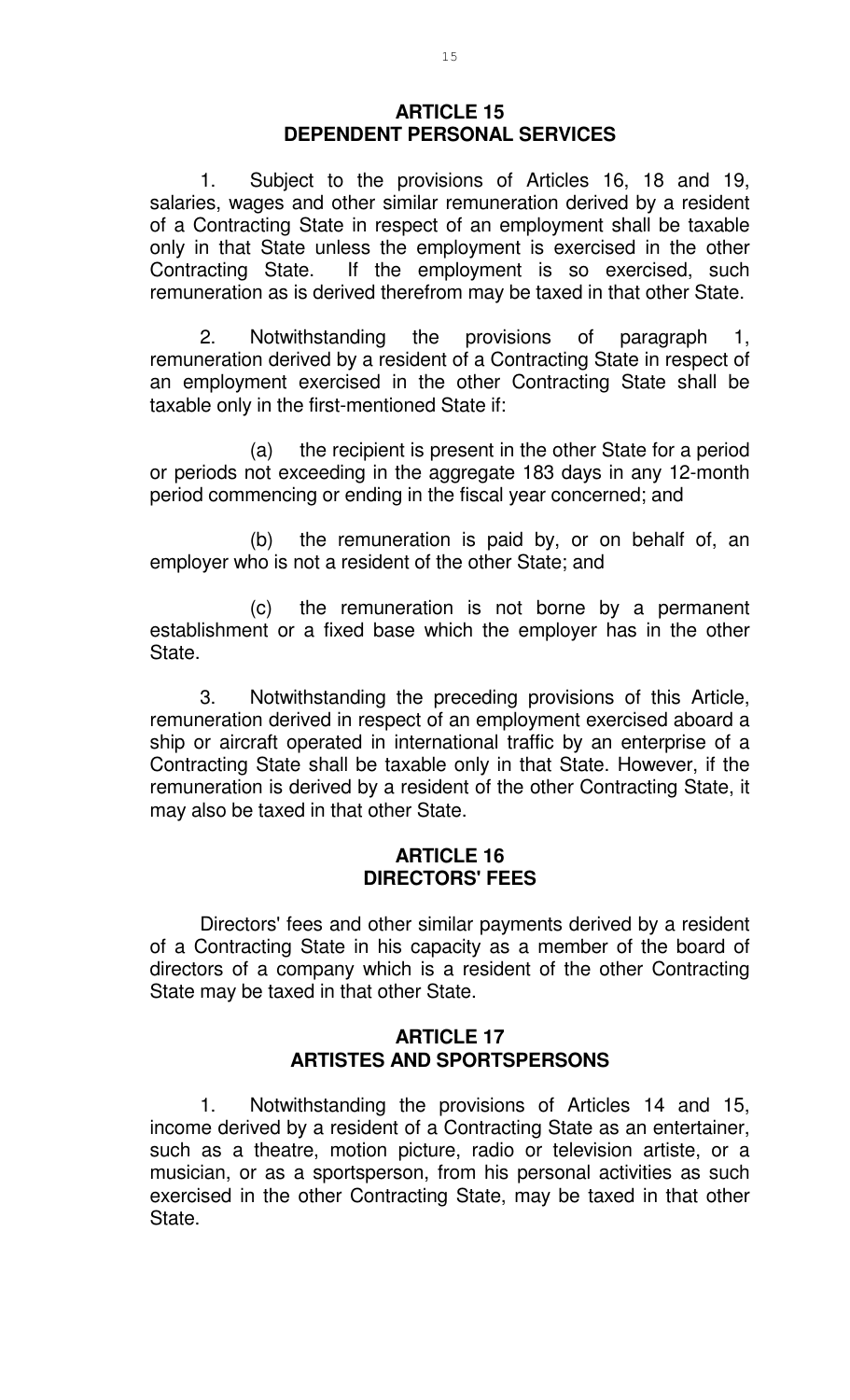#### **ARTICLE 15 DEPENDENT PERSONAL SERVICES**

1. Subject to the provisions of Articles 16, 18 and 19, salaries, wages and other similar remuneration derived by a resident of a Contracting State in respect of an employment shall be taxable only in that State unless the employment is exercised in the other Contracting State. If the employment is so exercised, such remuneration as is derived therefrom may be taxed in that other State.

2. Notwithstanding the provisions of paragraph 1, remuneration derived by a resident of a Contracting State in respect of an employment exercised in the other Contracting State shall be taxable only in the first-mentioned State if:

(a) the recipient is present in the other State for a period or periods not exceeding in the aggregate 183 days in any 12-month period commencing or ending in the fiscal year concerned; and

(b) the remuneration is paid by, or on behalf of, an employer who is not a resident of the other State; and

(c) the remuneration is not borne by a permanent establishment or a fixed base which the employer has in the other State.

3. Notwithstanding the preceding provisions of this Article, remuneration derived in respect of an employment exercised aboard a ship or aircraft operated in international traffic by an enterprise of a Contracting State shall be taxable only in that State. However, if the remuneration is derived by a resident of the other Contracting State, it may also be taxed in that other State.

## **ARTICLE 16 DIRECTORS' FEES**

 Directors' fees and other similar payments derived by a resident of a Contracting State in his capacity as a member of the board of directors of a company which is a resident of the other Contracting State may be taxed in that other State.

## **ARTICLE 17 ARTISTES AND SPORTSPERSONS**

1. Notwithstanding the provisions of Articles 14 and 15, income derived by a resident of a Contracting State as an entertainer, such as a theatre, motion picture, radio or television artiste, or a musician, or as a sportsperson, from his personal activities as such exercised in the other Contracting State, may be taxed in that other State.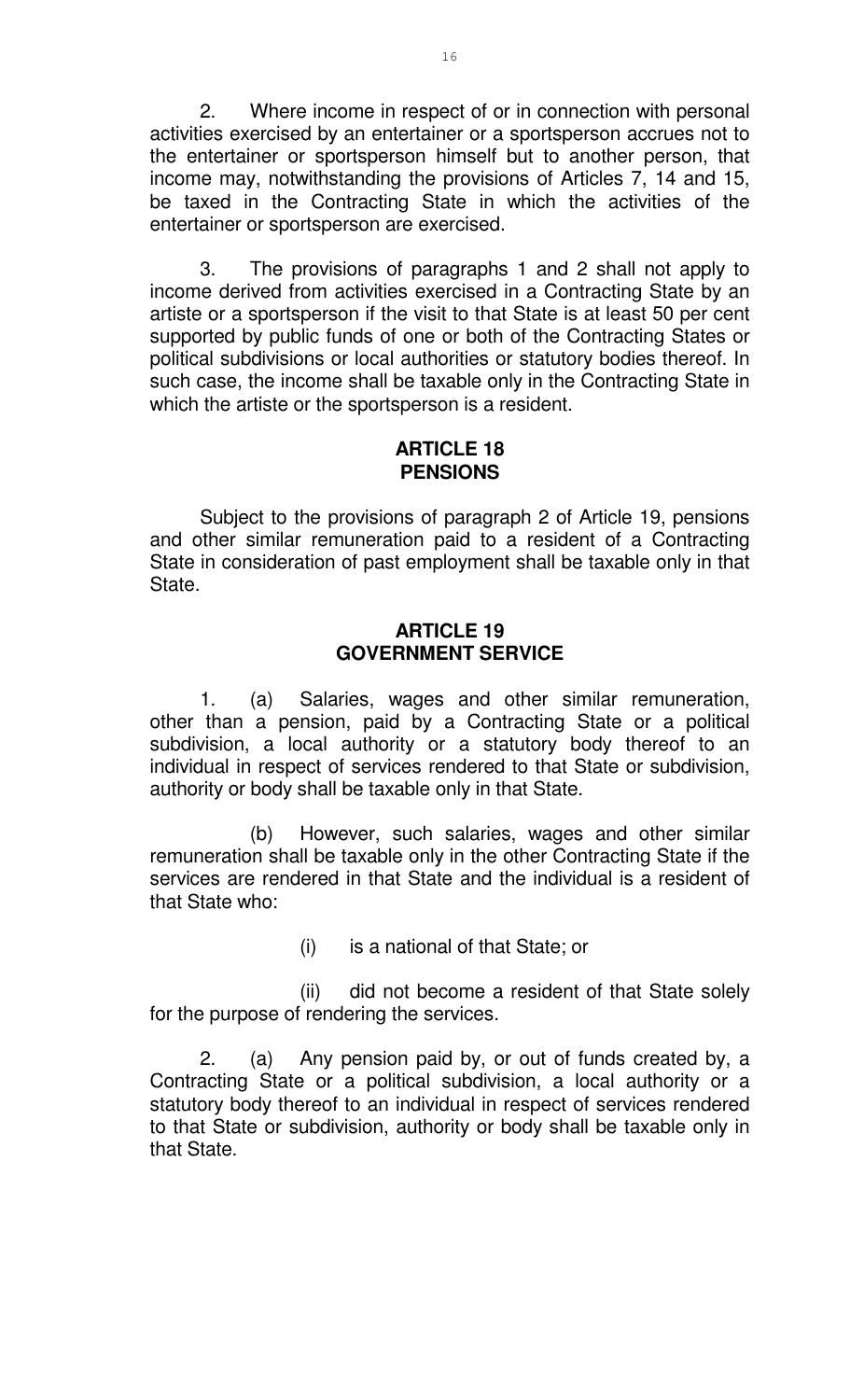2. Where income in respect of or in connection with personal activities exercised by an entertainer or a sportsperson accrues not to the entertainer or sportsperson himself but to another person, that income may, notwithstanding the provisions of Articles 7, 14 and 15, be taxed in the Contracting State in which the activities of the entertainer or sportsperson are exercised.

3. The provisions of paragraphs 1 and 2 shall not apply to income derived from activities exercised in a Contracting State by an artiste or a sportsperson if the visit to that State is at least 50 per cent supported by public funds of one or both of the Contracting States or political subdivisions or local authorities or statutory bodies thereof. In such case, the income shall be taxable only in the Contracting State in which the artiste or the sportsperson is a resident.

### **ARTICLE 18 PENSIONS**

Subject to the provisions of paragraph 2 of Article 19, pensions and other similar remuneration paid to a resident of a Contracting State in consideration of past employment shall be taxable only in that State.

## **ARTICLE 19 GOVERNMENT SERVICE**

1. (a) Salaries, wages and other similar remuneration, other than a pension, paid by a Contracting State or a political subdivision, a local authority or a statutory body thereof to an individual in respect of services rendered to that State or subdivision, authority or body shall be taxable only in that State.

 (b) However, such salaries, wages and other similar remuneration shall be taxable only in the other Contracting State if the services are rendered in that State and the individual is a resident of that State who:

(i) is a national of that State; or

(ii) did not become a resident of that State solely for the purpose of rendering the services.

2. (a) Any pension paid by, or out of funds created by, a Contracting State or a political subdivision, a local authority or a statutory body thereof to an individual in respect of services rendered to that State or subdivision, authority or body shall be taxable only in that State.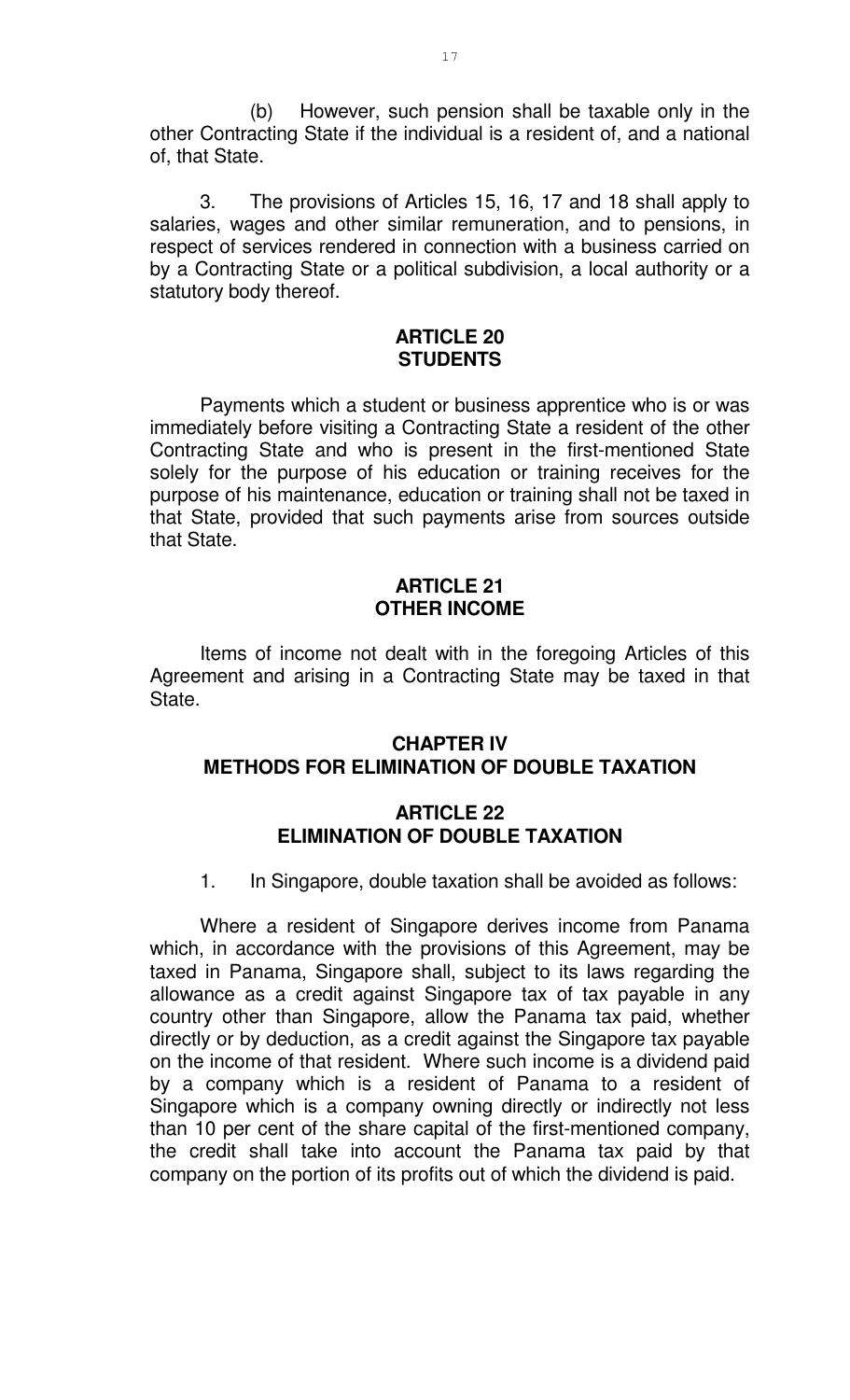(b) However, such pension shall be taxable only in the other Contracting State if the individual is a resident of, and a national of, that State.

3. The provisions of Articles 15, 16, 17 and 18 shall apply to salaries, wages and other similar remuneration, and to pensions, in respect of services rendered in connection with a business carried on by a Contracting State or a political subdivision, a local authority or a statutory body thereof.

#### **ARTICLE 20 STUDENTS**

Payments which a student or business apprentice who is or was immediately before visiting a Contracting State a resident of the other Contracting State and who is present in the first-mentioned State solely for the purpose of his education or training receives for the purpose of his maintenance, education or training shall not be taxed in that State, provided that such payments arise from sources outside that State.

## **ARTICLE 21 OTHER INCOME**

Items of income not dealt with in the foregoing Articles of this Agreement and arising in a Contracting State may be taxed in that State.

# **CHAPTER IV METHODS FOR ELIMINATION OF DOUBLE TAXATION**

## **ARTICLE 22 ELIMINATION OF DOUBLE TAXATION**

1. In Singapore, double taxation shall be avoided as follows:

 Where a resident of Singapore derives income from Panama which, in accordance with the provisions of this Agreement, may be taxed in Panama, Singapore shall, subject to its laws regarding the allowance as a credit against Singapore tax of tax payable in any country other than Singapore, allow the Panama tax paid, whether directly or by deduction, as a credit against the Singapore tax payable on the income of that resident. Where such income is a dividend paid by a company which is a resident of Panama to a resident of Singapore which is a company owning directly or indirectly not less than 10 per cent of the share capital of the first-mentioned company, the credit shall take into account the Panama tax paid by that company on the portion of its profits out of which the dividend is paid.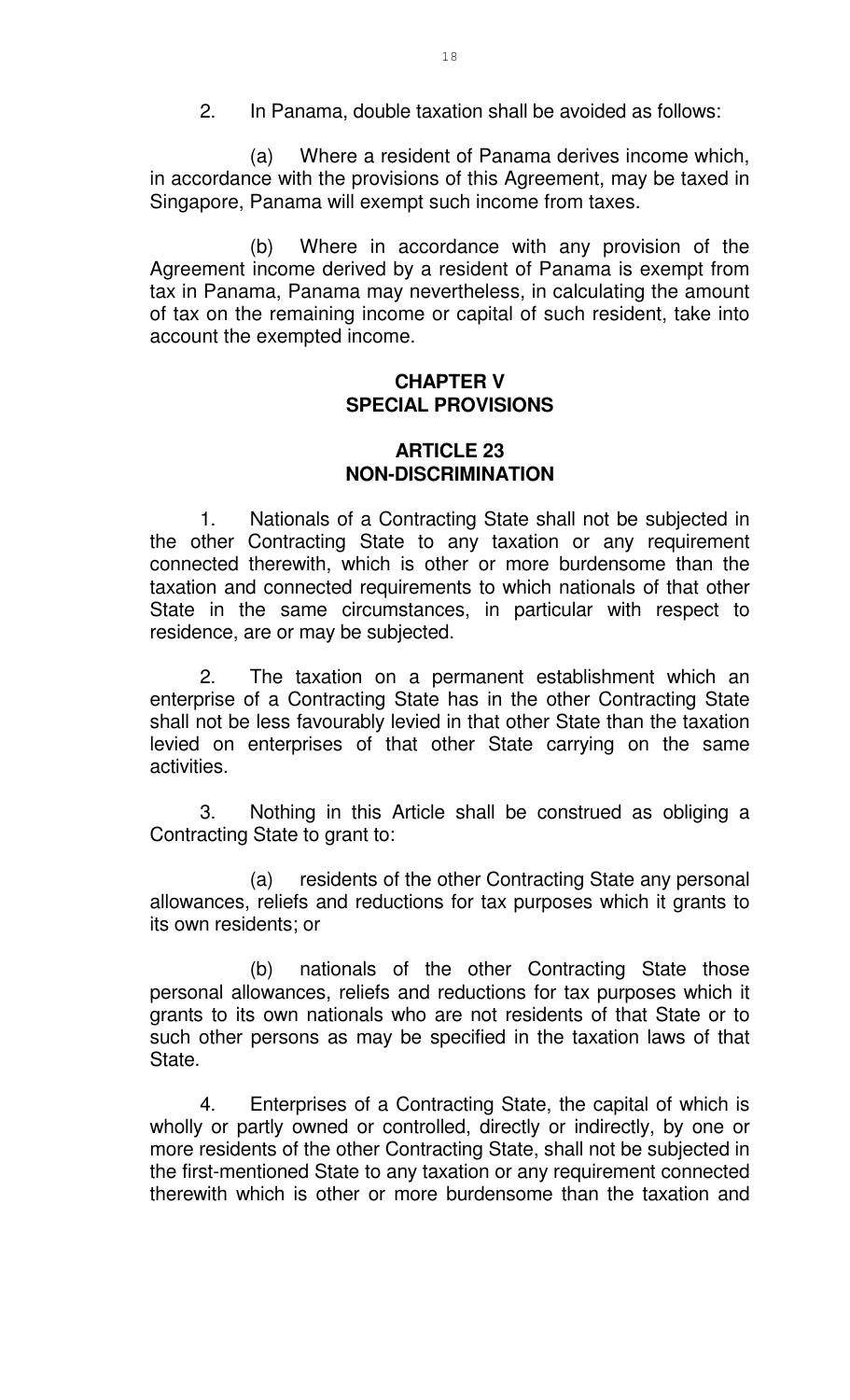2. In Panama, double taxation shall be avoided as follows:

(a) Where a resident of Panama derives income which, in accordance with the provisions of this Agreement, may be taxed in Singapore, Panama will exempt such income from taxes.

(b) Where in accordance with any provision of the Agreement income derived by a resident of Panama is exempt from tax in Panama, Panama may nevertheless, in calculating the amount of tax on the remaining income or capital of such resident, take into account the exempted income.

## **CHAPTER V SPECIAL PROVISIONS**

## **ARTICLE 23 NON-DISCRIMINATION**

1. Nationals of a Contracting State shall not be subjected in the other Contracting State to any taxation or any requirement connected therewith, which is other or more burdensome than the taxation and connected requirements to which nationals of that other State in the same circumstances, in particular with respect to residence, are or may be subjected.

2. The taxation on a permanent establishment which an enterprise of a Contracting State has in the other Contracting State shall not be less favourably levied in that other State than the taxation levied on enterprises of that other State carrying on the same activities.

3. Nothing in this Article shall be construed as obliging a Contracting State to grant to:

(a) residents of the other Contracting State any personal allowances, reliefs and reductions for tax purposes which it grants to its own residents; or

(b) nationals of the other Contracting State those personal allowances, reliefs and reductions for tax purposes which it grants to its own nationals who are not residents of that State or to such other persons as may be specified in the taxation laws of that State.

4. Enterprises of a Contracting State, the capital of which is wholly or partly owned or controlled, directly or indirectly, by one or more residents of the other Contracting State, shall not be subjected in the first-mentioned State to any taxation or any requirement connected therewith which is other or more burdensome than the taxation and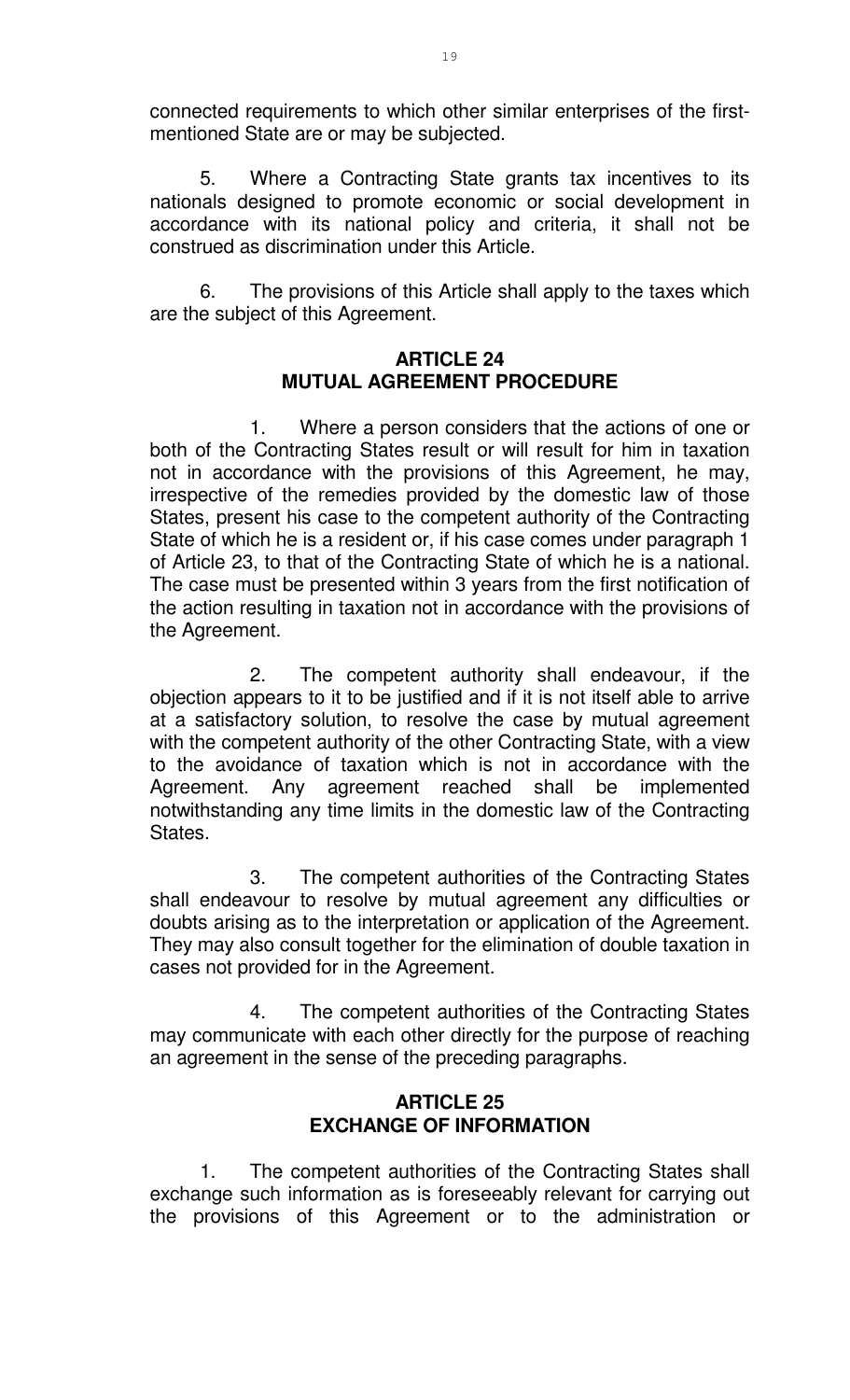connected requirements to which other similar enterprises of the firstmentioned State are or may be subjected.

5. Where a Contracting State grants tax incentives to its nationals designed to promote economic or social development in accordance with its national policy and criteria, it shall not be construed as discrimination under this Article.

6. The provisions of this Article shall apply to the taxes which are the subject of this Agreement.

## **ARTICLE 24 MUTUAL AGREEMENT PROCEDURE**

1. Where a person considers that the actions of one or both of the Contracting States result or will result for him in taxation not in accordance with the provisions of this Agreement, he may, irrespective of the remedies provided by the domestic law of those States, present his case to the competent authority of the Contracting State of which he is a resident or, if his case comes under paragraph 1 of Article 23, to that of the Contracting State of which he is a national. The case must be presented within 3 years from the first notification of the action resulting in taxation not in accordance with the provisions of the Agreement.

2. The competent authority shall endeavour, if the objection appears to it to be justified and if it is not itself able to arrive at a satisfactory solution, to resolve the case by mutual agreement with the competent authority of the other Contracting State, with a view to the avoidance of taxation which is not in accordance with the Agreement. Any agreement reached shall be implemented notwithstanding any time limits in the domestic law of the Contracting States.

3. The competent authorities of the Contracting States shall endeavour to resolve by mutual agreement any difficulties or doubts arising as to the interpretation or application of the Agreement. They may also consult together for the elimination of double taxation in cases not provided for in the Agreement.

4. The competent authorities of the Contracting States may communicate with each other directly for the purpose of reaching an agreement in the sense of the preceding paragraphs.

## **ARTICLE 25 EXCHANGE OF INFORMATION**

1. The competent authorities of the Contracting States shall exchange such information as is foreseeably relevant for carrying out the provisions of this Agreement or to the administration or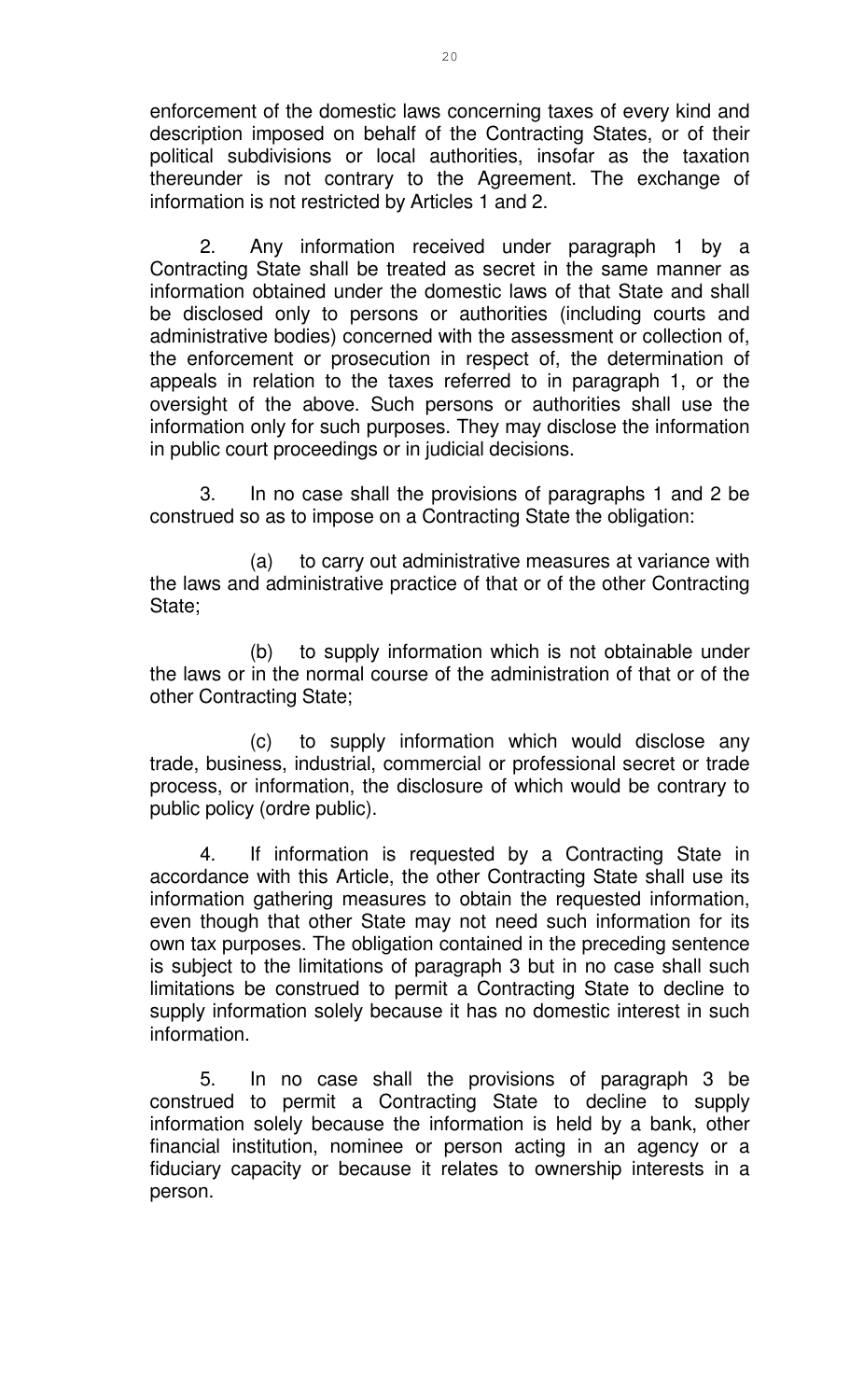enforcement of the domestic laws concerning taxes of every kind and description imposed on behalf of the Contracting States, or of their political subdivisions or local authorities, insofar as the taxation thereunder is not contrary to the Agreement. The exchange of information is not restricted by Articles 1 and 2.

2. Any information received under paragraph 1 by a Contracting State shall be treated as secret in the same manner as information obtained under the domestic laws of that State and shall be disclosed only to persons or authorities (including courts and administrative bodies) concerned with the assessment or collection of, the enforcement or prosecution in respect of, the determination of appeals in relation to the taxes referred to in paragraph 1, or the oversight of the above. Such persons or authorities shall use the information only for such purposes. They may disclose the information in public court proceedings or in judicial decisions.

3. In no case shall the provisions of paragraphs 1 and 2 be construed so as to impose on a Contracting State the obligation:

(a) to carry out administrative measures at variance with the laws and administrative practice of that or of the other Contracting State:

(b) to supply information which is not obtainable under the laws or in the normal course of the administration of that or of the other Contracting State;

(c) to supply information which would disclose any trade, business, industrial, commercial or professional secret or trade process, or information, the disclosure of which would be contrary to public policy (ordre public).

4. If information is requested by a Contracting State in accordance with this Article, the other Contracting State shall use its information gathering measures to obtain the requested information, even though that other State may not need such information for its own tax purposes. The obligation contained in the preceding sentence is subject to the limitations of paragraph 3 but in no case shall such limitations be construed to permit a Contracting State to decline to supply information solely because it has no domestic interest in such information.

5. In no case shall the provisions of paragraph 3 be construed to permit a Contracting State to decline to supply information solely because the information is held by a bank, other financial institution, nominee or person acting in an agency or a fiduciary capacity or because it relates to ownership interests in a person.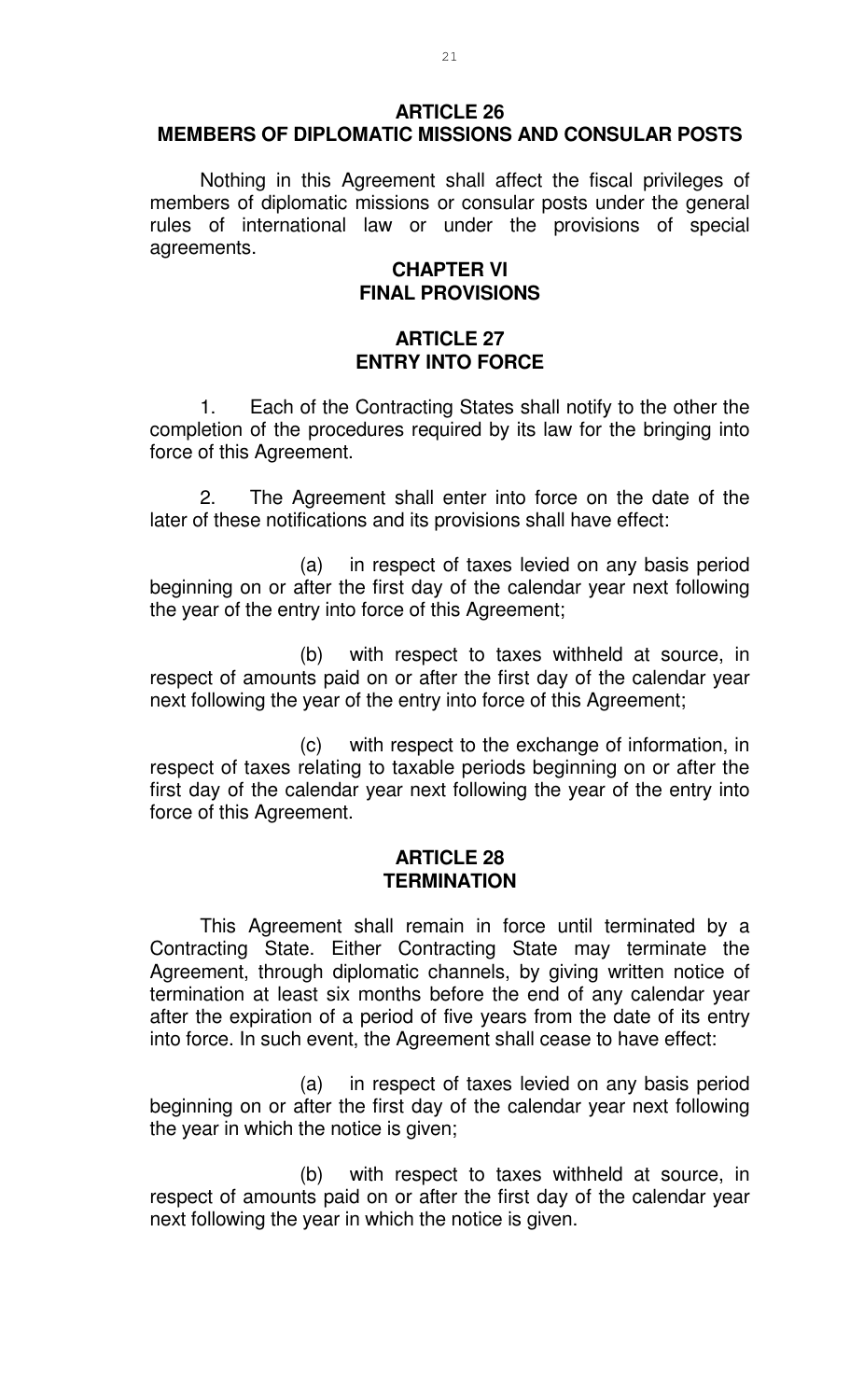### **ARTICLE 26 MEMBERS OF DIPLOMATIC MISSIONS AND CONSULAR POSTS**

 Nothing in this Agreement shall affect the fiscal privileges of members of diplomatic missions or consular posts under the general rules of international law or under the provisions of special agreements.

# **CHAPTER VI FINAL PROVISIONS**

# **ARTICLE 27 ENTRY INTO FORCE**

1. Each of the Contracting States shall notify to the other the completion of the procedures required by its law for the bringing into force of this Agreement.

2. The Agreement shall enter into force on the date of the later of these notifications and its provisions shall have effect:

 (a) in respect of taxes levied on any basis period beginning on or after the first day of the calendar year next following the year of the entry into force of this Agreement;

(b) with respect to taxes withheld at source, in respect of amounts paid on or after the first day of the calendar year next following the year of the entry into force of this Agreement;

(c) with respect to the exchange of information, in respect of taxes relating to taxable periods beginning on or after the first day of the calendar year next following the year of the entry into force of this Agreement.

### **ARTICLE 28 TERMINATION**

 This Agreement shall remain in force until terminated by a Contracting State. Either Contracting State may terminate the Agreement, through diplomatic channels, by giving written notice of termination at least six months before the end of any calendar year after the expiration of a period of five years from the date of its entry into force. In such event, the Agreement shall cease to have effect:

 (a) in respect of taxes levied on any basis period beginning on or after the first day of the calendar year next following the year in which the notice is given;

(b) with respect to taxes withheld at source, in respect of amounts paid on or after the first day of the calendar year next following the year in which the notice is given.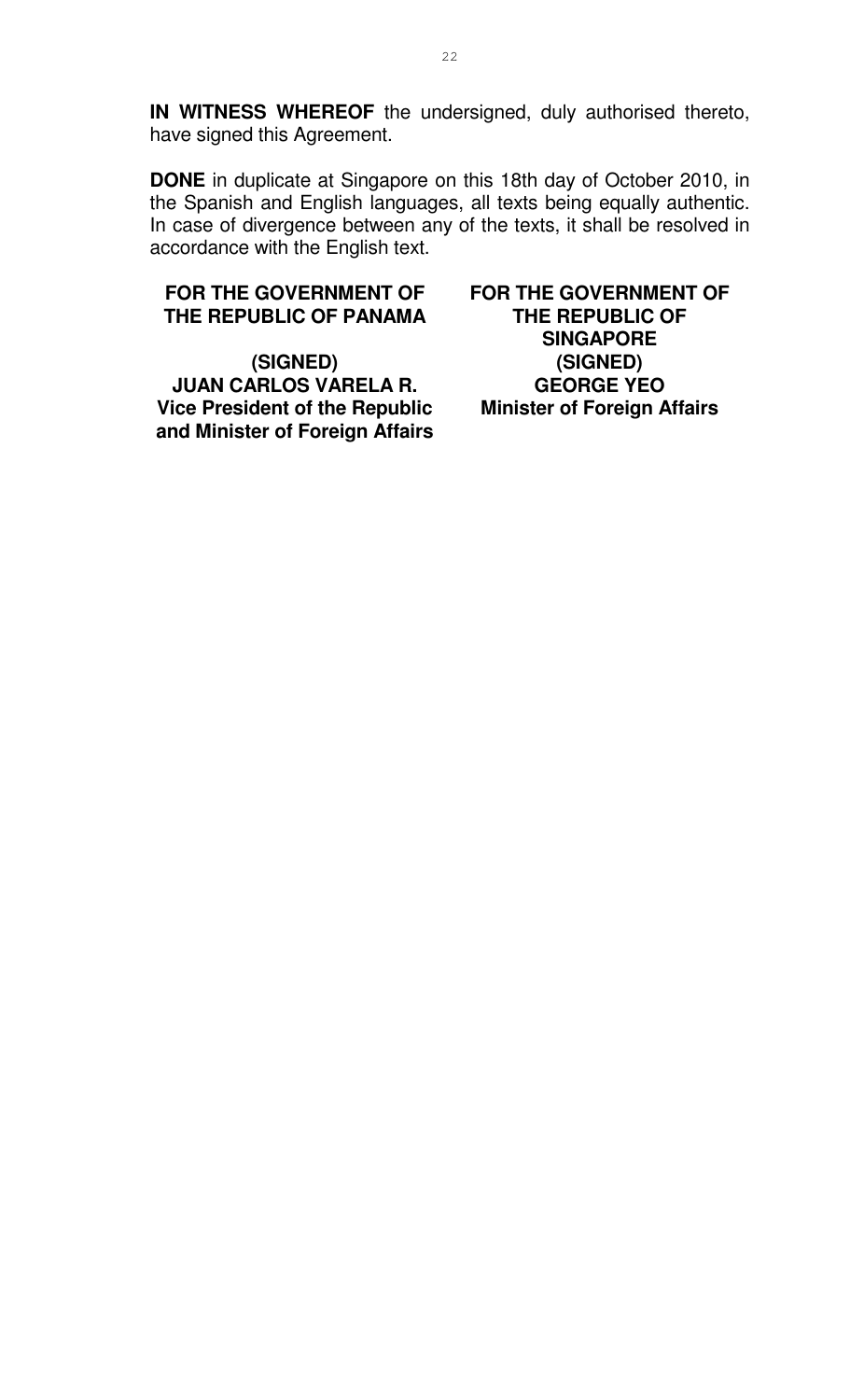**IN WITNESS WHEREOF** the undersigned, duly authorised thereto, have signed this Agreement.

**DONE** in duplicate at Singapore on this 18th day of October 2010, in the Spanish and English languages, all texts being equally authentic. In case of divergence between any of the texts, it shall be resolved in accordance with the English text.

#### **FOR THE GOVERNMENT OF THE REPUBLIC OF PANAMA**

**(SIGNED) JUAN CARLOS VARELA R. Vice President of the Republic and Minister of Foreign Affairs** 

## **FOR THE GOVERNMENT OF THE REPUBLIC OF SINGAPORE (SIGNED) GEORGE YEO Minister of Foreign Affairs**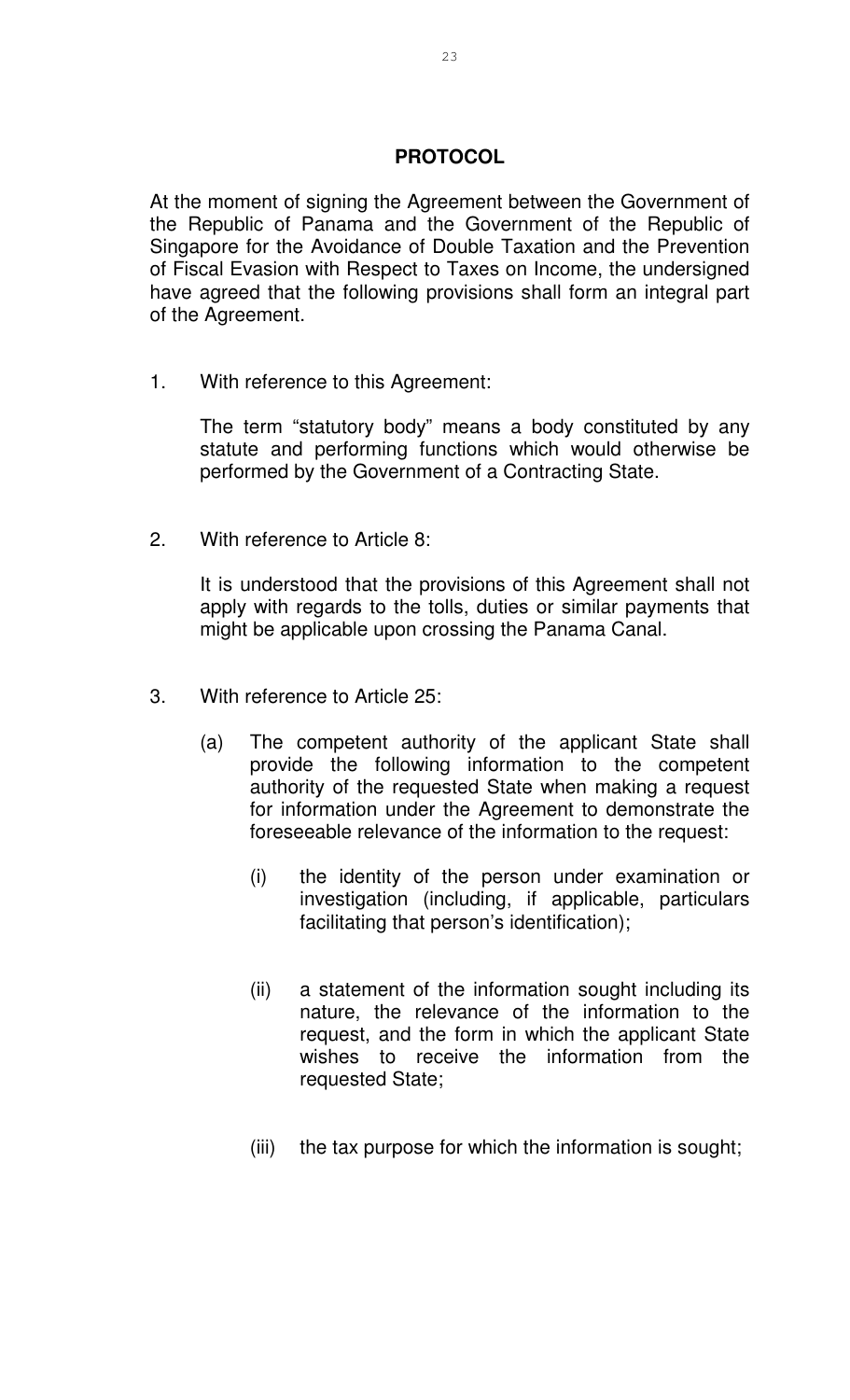# **PROTOCOL**

At the moment of signing the Agreement between the Government of the Republic of Panama and the Government of the Republic of Singapore for the Avoidance of Double Taxation and the Prevention of Fiscal Evasion with Respect to Taxes on Income, the undersigned have agreed that the following provisions shall form an integral part of the Agreement.

1. With reference to this Agreement:

The term "statutory body" means a body constituted by any statute and performing functions which would otherwise be performed by the Government of a Contracting State.

2. With reference to Article 8:

 It is understood that the provisions of this Agreement shall not apply with regards to the tolls, duties or similar payments that might be applicable upon crossing the Panama Canal.

- 3. With reference to Article 25:
	- (a) The competent authority of the applicant State shall provide the following information to the competent authority of the requested State when making a request for information under the Agreement to demonstrate the foreseeable relevance of the information to the request:
		- (i) the identity of the person under examination or investigation (including, if applicable, particulars facilitating that person's identification);
		- (ii) a statement of the information sought including its nature, the relevance of the information to the request, and the form in which the applicant State wishes to receive the information from the requested State;
		- (iii) the tax purpose for which the information is sought;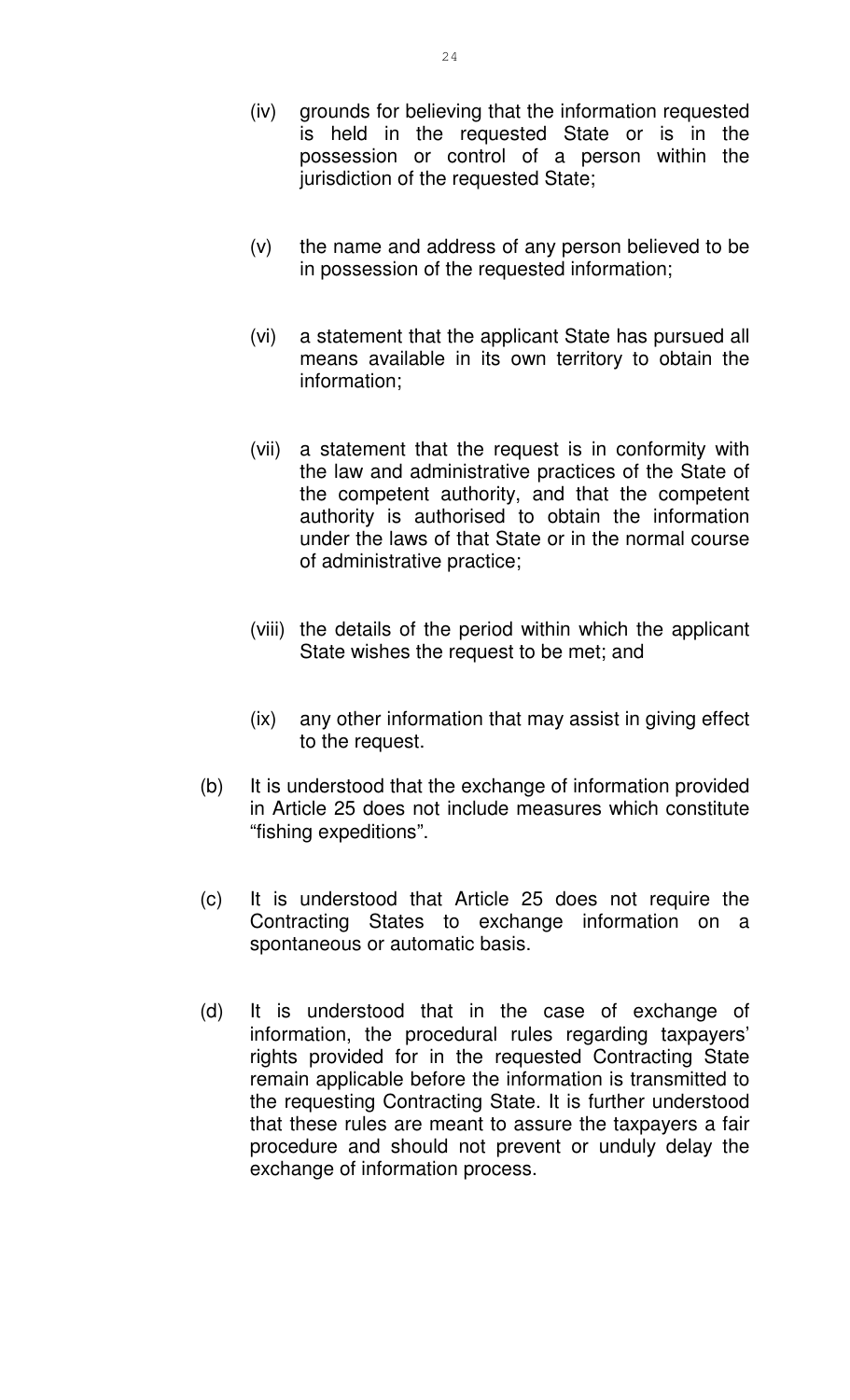- (iv) grounds for believing that the information requested is held in the requested State or is in the possession or control of a person within the jurisdiction of the requested State;
- (v) the name and address of any person believed to be in possession of the requested information;
- (vi) a statement that the applicant State has pursued all means available in its own territory to obtain the information;
- (vii) a statement that the request is in conformity with the law and administrative practices of the State of the competent authority, and that the competent authority is authorised to obtain the information under the laws of that State or in the normal course of administrative practice;
- (viii) the details of the period within which the applicant State wishes the request to be met; and
- (ix) any other information that may assist in giving effect to the request.
- (b) It is understood that the exchange of information provided in Article 25 does not include measures which constitute "fishing expeditions".
- (c) It is understood that Article 25 does not require the Contracting States to exchange information on a spontaneous or automatic basis.
- (d) It is understood that in the case of exchange of information, the procedural rules regarding taxpayers' rights provided for in the requested Contracting State remain applicable before the information is transmitted to the requesting Contracting State. It is further understood that these rules are meant to assure the taxpayers a fair procedure and should not prevent or unduly delay the exchange of information process.